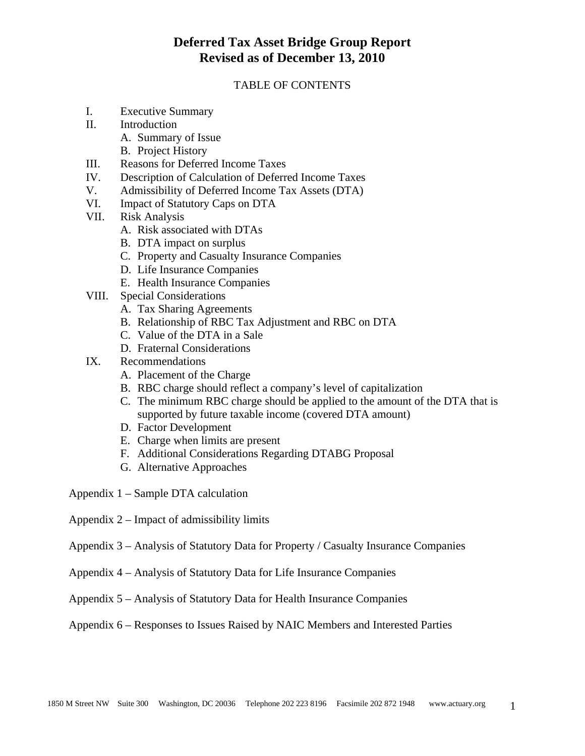### TABLE OF CONTENTS

- I. Executive Summary
- II. Introduction
	- A. Summary of Issue
	- B. Project History
- III. Reasons for Deferred Income Taxes
- IV. Description of Calculation of Deferred Income Taxes
- V. Admissibility of Deferred Income Tax Assets (DTA)
- VI. Impact of Statutory Caps on DTA
- VII. Risk Analysis
	- A. Risk associated with DTAs
	- B. DTA impact on surplus
	- C. Property and Casualty Insurance Companies
	- D. Life Insurance Companies
	- E. Health Insurance Companies
- VIII. Special Considerations
	- A. Tax Sharing Agreements
	- B. Relationship of RBC Tax Adjustment and RBC on DTA
	- C. Value of the DTA in a Sale
	- D. Fraternal Considerations
- IX. Recommendations
	- A. Placement of the Charge
	- B. RBC charge should reflect a company's level of capitalization
	- C. The minimum RBC charge should be applied to the amount of the DTA that is supported by future taxable income (covered DTA amount)
	- D. Factor Development
	- E. Charge when limits are present
	- F. Additional Considerations Regarding DTABG Proposal
	- G. Alternative Approaches
- Appendix 1 Sample DTA calculation
- Appendix 2 Impact of admissibility limits
- Appendix 3 Analysis of Statutory Data for Property / Casualty Insurance Companies
- Appendix 4 Analysis of Statutory Data for Life Insurance Companies
- Appendix 5 Analysis of Statutory Data for Health Insurance Companies

Appendix 6 – Responses to Issues Raised by NAIC Members and Interested Parties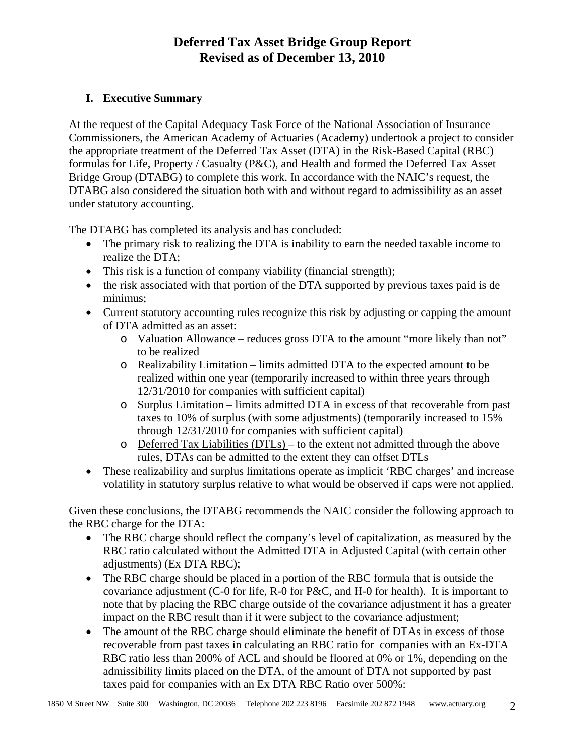### **I. Executive Summary**

At the request of the Capital Adequacy Task Force of the National Association of Insurance Commissioners, the American Academy of Actuaries (Academy) undertook a project to consider the appropriate treatment of the Deferred Tax Asset (DTA) in the Risk-Based Capital (RBC) formulas for Life, Property / Casualty (P&C), and Health and formed the Deferred Tax Asset Bridge Group (DTABG) to complete this work. In accordance with the NAIC's request, the DTABG also considered the situation both with and without regard to admissibility as an asset under statutory accounting.

The DTABG has completed its analysis and has concluded:

- The primary risk to realizing the DTA is inability to earn the needed taxable income to realize the DTA;
- This risk is a function of company viability (financial strength);
- the risk associated with that portion of the DTA supported by previous taxes paid is de minimus;
- Current statutory accounting rules recognize this risk by adjusting or capping the amount of DTA admitted as an asset:
	- o Valuation Allowance reduces gross DTA to the amount "more likely than not" to be realized
	- o Realizability Limitation limits admitted DTA to the expected amount to be realized within one year (temporarily increased to within three years through 12/31/2010 for companies with sufficient capital)
	- o Surplus Limitation limits admitted DTA in excess of that recoverable from past taxes to 10% of surplus (with some adjustments) (temporarily increased to 15% through 12/31/2010 for companies with sufficient capital)
	- o Deferred Tax Liabilities (DTLs) to the extent not admitted through the above rules, DTAs can be admitted to the extent they can offset DTLs
- These realizability and surplus limitations operate as implicit 'RBC charges' and increase volatility in statutory surplus relative to what would be observed if caps were not applied.

Given these conclusions, the DTABG recommends the NAIC consider the following approach to the RBC charge for the DTA:

- The RBC charge should reflect the company's level of capitalization, as measured by the RBC ratio calculated without the Admitted DTA in Adjusted Capital (with certain other adjustments) (Ex DTA RBC);
- The RBC charge should be placed in a portion of the RBC formula that is outside the covariance adjustment (C-0 for life, R-0 for P&C, and H-0 for health). It is important to note that by placing the RBC charge outside of the covariance adjustment it has a greater impact on the RBC result than if it were subject to the covariance adjustment;
- The amount of the RBC charge should eliminate the benefit of DTAs in excess of those recoverable from past taxes in calculating an RBC ratio for companies with an Ex-DTA RBC ratio less than 200% of ACL and should be floored at 0% or 1%, depending on the admissibility limits placed on the DTA, of the amount of DTA not supported by past taxes paid for companies with an Ex DTA RBC Ratio over 500%: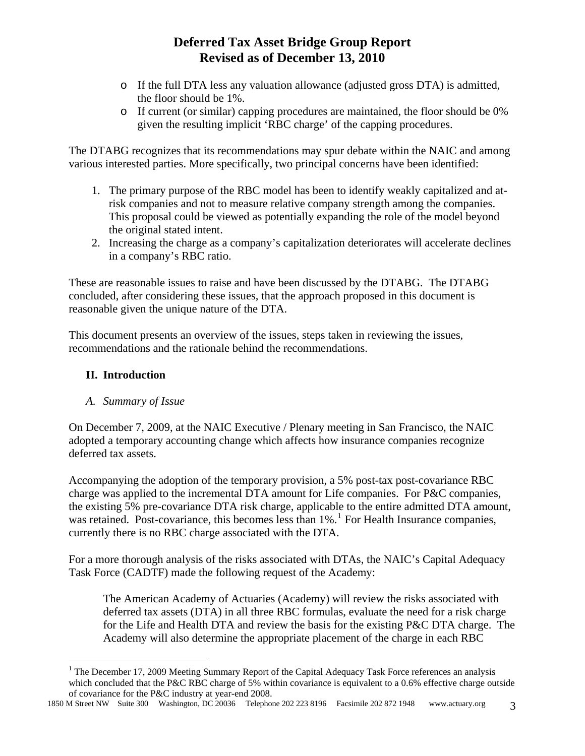- o If the full DTA less any valuation allowance (adjusted gross DTA) is admitted, the floor should be 1%.
- o If current (or similar) capping procedures are maintained, the floor should be 0% given the resulting implicit 'RBC charge' of the capping procedures.

The DTABG recognizes that its recommendations may spur debate within the NAIC and among various interested parties. More specifically, two principal concerns have been identified:

- 1. The primary purpose of the RBC model has been to identify weakly capitalized and atrisk companies and not to measure relative company strength among the companies. This proposal could be viewed as potentially expanding the role of the model beyond the original stated intent.
- 2. Increasing the charge as a company's capitalization deteriorates will accelerate declines in a company's RBC ratio.

These are reasonable issues to raise and have been discussed by the DTABG. The DTABG concluded, after considering these issues, that the approach proposed in this document is reasonable given the unique nature of the DTA.

This document presents an overview of the issues, steps taken in reviewing the issues, recommendations and the rationale behind the recommendations.

### **II. Introduction**

 $\overline{a}$ 

### *A. Summary of Issue*

On December 7, 2009, at the NAIC Executive / Plenary meeting in San Francisco, the NAIC adopted a temporary accounting change which affects how insurance companies recognize deferred tax assets.

Accompanying the adoption of the temporary provision, a 5% post-tax post-covariance RBC charge was applied to the incremental DTA amount for Life companies. For P&C companies, the existing 5% pre-covariance DTA risk charge, applicable to the entire admitted DTA amount, was retained. Post-covariance, this becomes less than [1](#page-2-0)%.<sup>1</sup> For Health Insurance companies, currently there is no RBC charge associated with the DTA.

For a more thorough analysis of the risks associated with DTAs, the NAIC's Capital Adequacy Task Force (CADTF) made the following request of the Academy:

The American Academy of Actuaries (Academy) will review the risks associated with deferred tax assets (DTA) in all three RBC formulas, evaluate the need for a risk charge for the Life and Health DTA and review the basis for the existing P&C DTA charge. The Academy will also determine the appropriate placement of the charge in each RBC

<sup>&</sup>lt;sup>1</sup> The December 17, 2009 Meeting Summary Report of the Capital Adequacy Task Force references an analysis which concluded that the P&C RBC charge of 5% within covariance is equivalent to a 0.6% effective charge outside of covariance for the P&C industry at year-end 2008.

<span id="page-2-0"></span><sup>1850</sup> M Street NW Suite 300 Washington, DC 20036 Telephone 202 223 8196 Facsimile 202 872 1948 www.actuary.org 3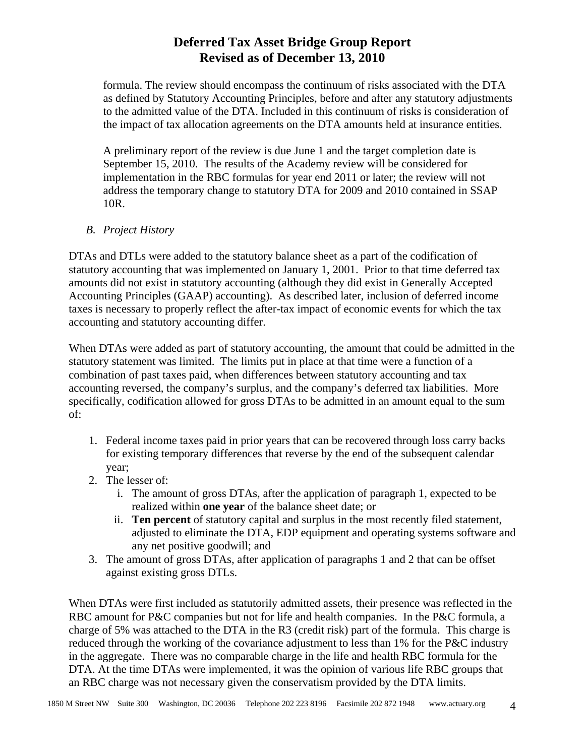formula. The review should encompass the continuum of risks associated with the DTA as defined by Statutory Accounting Principles, before and after any statutory adjustments to the admitted value of the DTA. Included in this continuum of risks is consideration of the impact of tax allocation agreements on the DTA amounts held at insurance entities.

A preliminary report of the review is due June 1 and the target completion date is September 15, 2010. The results of the Academy review will be considered for implementation in the RBC formulas for year end 2011 or later; the review will not address the temporary change to statutory DTA for 2009 and 2010 contained in SSAP 10R.

### *B. Project History*

DTAs and DTLs were added to the statutory balance sheet as a part of the codification of statutory accounting that was implemented on January 1, 2001. Prior to that time deferred tax amounts did not exist in statutory accounting (although they did exist in Generally Accepted Accounting Principles (GAAP) accounting). As described later, inclusion of deferred income taxes is necessary to properly reflect the after-tax impact of economic events for which the tax accounting and statutory accounting differ.

When DTAs were added as part of statutory accounting, the amount that could be admitted in the statutory statement was limited. The limits put in place at that time were a function of a combination of past taxes paid, when differences between statutory accounting and tax accounting reversed, the company's surplus, and the company's deferred tax liabilities. More specifically, codification allowed for gross DTAs to be admitted in an amount equal to the sum of:

- 1. Federal income taxes paid in prior years that can be recovered through loss carry backs for existing temporary differences that reverse by the end of the subsequent calendar year;
- 2. The lesser of:
	- i. The amount of gross DTAs, after the application of paragraph 1, expected to be realized within **one year** of the balance sheet date; or
	- ii. **Ten percent** of statutory capital and surplus in the most recently filed statement, adjusted to eliminate the DTA, EDP equipment and operating systems software and any net positive goodwill; and
- 3. The amount of gross DTAs, after application of paragraphs 1 and 2 that can be offset against existing gross DTLs.

When DTAs were first included as statutorily admitted assets, their presence was reflected in the RBC amount for P&C companies but not for life and health companies. In the P&C formula, a charge of 5% was attached to the DTA in the R3 (credit risk) part of the formula. This charge is reduced through the working of the covariance adjustment to less than 1% for the P&C industry in the aggregate. There was no comparable charge in the life and health RBC formula for the DTA. At the time DTAs were implemented, it was the opinion of various life RBC groups that an RBC charge was not necessary given the conservatism provided by the DTA limits.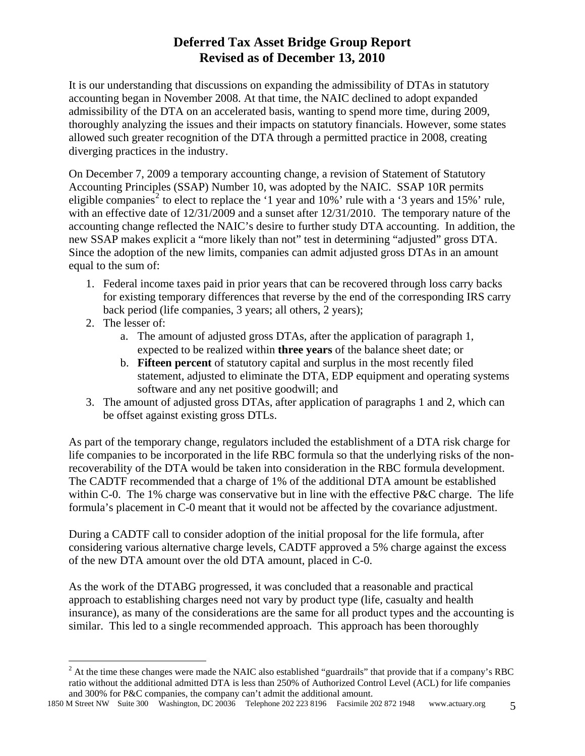It is our understanding that discussions on expanding the admissibility of DTAs in statutory accounting began in November 2008. At that time, the NAIC declined to adopt expanded admissibility of the DTA on an accelerated basis, wanting to spend more time, during 2009, thoroughly analyzing the issues and their impacts on statutory financials. However, some states allowed such greater recognition of the DTA through a permitted practice in 2008, creating diverging practices in the industry.

On December 7, 2009 a temporary accounting change, a revision of Statement of Statutory Accounting Principles (SSAP) Number 10, was adopted by the NAIC. SSAP 10R permits eligible companies<sup>[2](#page-4-0)</sup> to elect to replace the '1 year and 10%' rule with a '3 years and 15%' rule, with an effective date of 12/31/2009 and a sunset after 12/31/2010. The temporary nature of the accounting change reflected the NAIC's desire to further study DTA accounting. In addition, the new SSAP makes explicit a "more likely than not" test in determining "adjusted" gross DTA. Since the adoption of the new limits, companies can admit adjusted gross DTAs in an amount equal to the sum of:

- 1. Federal income taxes paid in prior years that can be recovered through loss carry backs for existing temporary differences that reverse by the end of the corresponding IRS carry back period (life companies, 3 years; all others, 2 years);
- 2. The lesser of:
	- a. The amount of adjusted gross DTAs, after the application of paragraph 1, expected to be realized within **three years** of the balance sheet date; or
	- b. **Fifteen percent** of statutory capital and surplus in the most recently filed statement, adjusted to eliminate the DTA, EDP equipment and operating systems software and any net positive goodwill; and
- 3. The amount of adjusted gross DTAs, after application of paragraphs 1 and 2, which can be offset against existing gross DTLs.

As part of the temporary change, regulators included the establishment of a DTA risk charge for life companies to be incorporated in the life RBC formula so that the underlying risks of the nonrecoverability of the DTA would be taken into consideration in the RBC formula development. The CADTF recommended that a charge of 1% of the additional DTA amount be established within C-0. The 1% charge was conservative but in line with the effective P&C charge. The life formula's placement in C-0 meant that it would not be affected by the covariance adjustment.

During a CADTF call to consider adoption of the initial proposal for the life formula, after considering various alternative charge levels, CADTF approved a 5% charge against the excess of the new DTA amount over the old DTA amount, placed in C-0.

As the work of the DTABG progressed, it was concluded that a reasonable and practical approach to establishing charges need not vary by product type (life, casualty and health insurance), as many of the considerations are the same for all product types and the accounting is similar. This led to a single recommended approach. This approach has been thoroughly

<span id="page-4-0"></span> $\overline{a}$  $2^2$  At the time these changes were made the NAIC also established "guardrails" that provide that if a company's RBC ratio without the additional admitted DTA is less than 250% of Authorized Control Level (ACL) for life companies and 300% for P&C companies, the company can't admit the additional amount.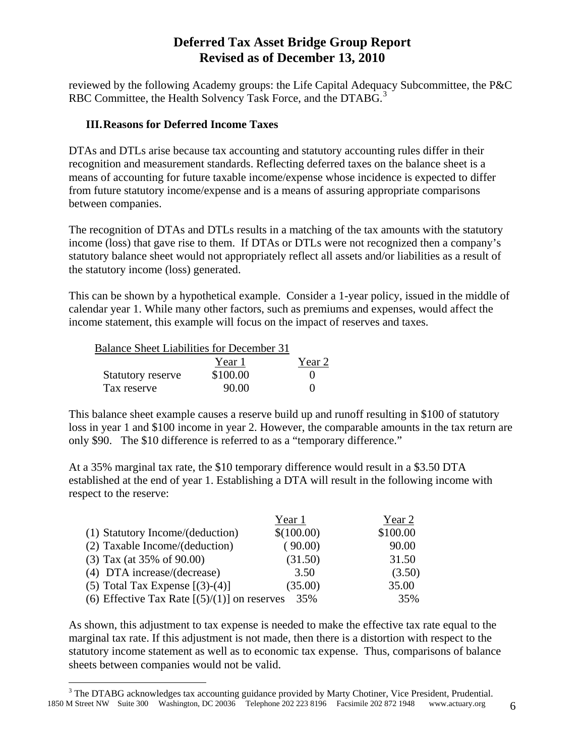reviewed by the following Academy groups: the Life Capital Adequacy Subcommittee, the P&C RBC Committee, the Health Solvency Task Force, and the DTABG.<sup>[3](#page-5-0)</sup>

#### **III.Reasons for Deferred Income Taxes**

DTAs and DTLs arise because tax accounting and statutory accounting rules differ in their recognition and measurement standards. Reflecting deferred taxes on the balance sheet is a means of accounting for future taxable income/expense whose incidence is expected to differ from future statutory income/expense and is a means of assuring appropriate comparisons between companies.

The recognition of DTAs and DTLs results in a matching of the tax amounts with the statutory income (loss) that gave rise to them. If DTAs or DTLs were not recognized then a company's statutory balance sheet would not appropriately reflect all assets and/or liabilities as a result of the statutory income (loss) generated.

This can be shown by a hypothetical example. Consider a 1-year policy, issued in the middle of calendar year 1. While many other factors, such as premiums and expenses, would affect the income statement, this example will focus on the impact of reserves and taxes.

| <b>Balance Sheet Liabilities for December 31</b> |          |        |
|--------------------------------------------------|----------|--------|
|                                                  | Year 1   | Year 2 |
| <b>Statutory reserve</b>                         | \$100.00 |        |
| Tax reserve                                      | 90.00    |        |

This balance sheet example causes a reserve build up and runoff resulting in \$100 of statutory loss in year 1 and \$100 income in year 2. However, the comparable amounts in the tax return are only \$90. The \$10 difference is referred to as a "temporary difference."

At a 35% marginal tax rate, the \$10 temporary difference would result in a \$3.50 DTA established at the end of year 1. Establishing a DTA will result in the following income with respect to the reserve:

|                                                | Year 1     | Year 2   |
|------------------------------------------------|------------|----------|
| (1) Statutory Income/(deduction)               | \$(100.00) | \$100.00 |
| (2) Taxable Income/(deduction)                 | (90.00)    | 90.00    |
| $(3)$ Tax (at 35% of 90.00)                    | (31.50)    | 31.50    |
| (4) DTA increase/(decrease)                    | 3.50       | (3.50)   |
| (5) Total Tax Expense $[(3)-(4)]$              | (35.00)    | 35.00    |
| (6) Effective Tax Rate $[(5)/(1)]$ on reserves | 35%        | 35%      |

As shown, this adjustment to tax expense is needed to make the effective tax rate equal to the marginal tax rate. If this adjustment is not made, then there is a distortion with respect to the statutory income statement as well as to economic tax expense. Thus, comparisons of balance sheets between companies would not be valid.

1

<span id="page-5-0"></span><sup>1850</sup> M Street NW Suite 300 Washington, DC 20036 Telephone 202 223 8196 Facsimile 202 872 1948 www.actuary.org 6 <sup>3</sup> The DTABG acknowledges tax accounting guidance provided by Marty Chotiner, Vice President, Prudential.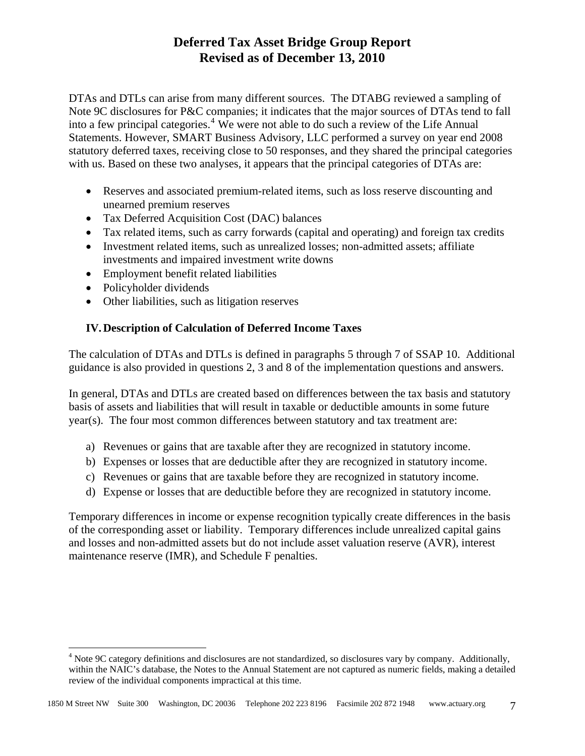DTAs and DTLs can arise from many different sources. The DTABG reviewed a sampling of Note 9C disclosures for P&C companies; it indicates that the major sources of DTAs tend to fall into a few principal categories.<sup>[4](#page-6-0)</sup> We were not able to do such a review of the Life Annual Statements. However, SMART Business Advisory, LLC performed a survey on year end 2008 statutory deferred taxes, receiving close to 50 responses, and they shared the principal categories with us. Based on these two analyses, it appears that the principal categories of DTAs are:

- Reserves and associated premium-related items, such as loss reserve discounting and unearned premium reserves
- Tax Deferred Acquisition Cost (DAC) balances
- Tax related items, such as carry forwards (capital and operating) and foreign tax credits
- Investment related items, such as unrealized losses; non-admitted assets; affiliate investments and impaired investment write downs
- Employment benefit related liabilities
- Policyholder dividends

 $\overline{a}$ 

• Other liabilities, such as litigation reserves

### **IV.Description of Calculation of Deferred Income Taxes**

The calculation of DTAs and DTLs is defined in paragraphs 5 through 7 of SSAP 10. Additional guidance is also provided in questions 2, 3 and 8 of the implementation questions and answers.

In general, DTAs and DTLs are created based on differences between the tax basis and statutory basis of assets and liabilities that will result in taxable or deductible amounts in some future year(s). The four most common differences between statutory and tax treatment are:

- a) Revenues or gains that are taxable after they are recognized in statutory income.
- b) Expenses or losses that are deductible after they are recognized in statutory income.
- c) Revenues or gains that are taxable before they are recognized in statutory income.
- d) Expense or losses that are deductible before they are recognized in statutory income.

Temporary differences in income or expense recognition typically create differences in the basis of the corresponding asset or liability. Temporary differences include unrealized capital gains and losses and non-admitted assets but do not include asset valuation reserve (AVR), interest maintenance reserve (IMR), and Schedule F penalties.

<span id="page-6-0"></span><sup>&</sup>lt;sup>4</sup> Note 9C category definitions and disclosures are not standardized, so disclosures vary by company. Additionally, within the NAIC's database, the Notes to the Annual Statement are not captured as numeric fields, making a detailed review of the individual components impractical at this time.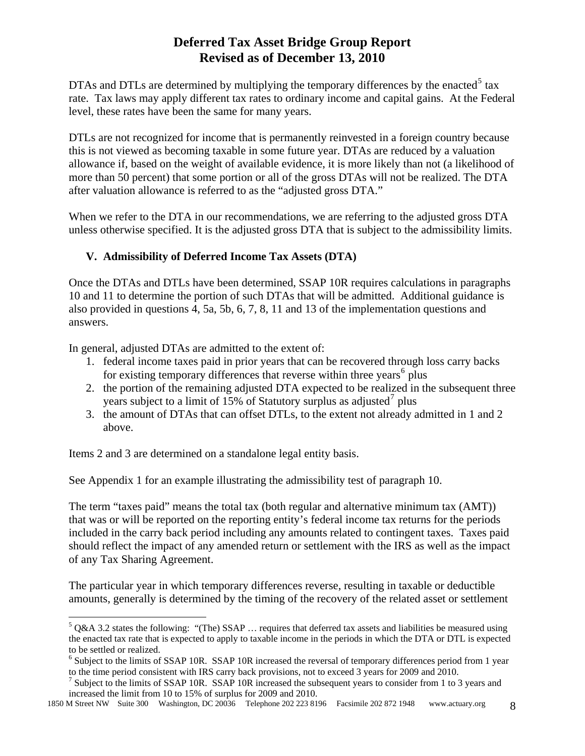DTAs and DTLs are determined by multiplying the temporary differences by the enacted<sup>[5](#page-7-0)</sup> tax rate. Tax laws may apply different tax rates to ordinary income and capital gains. At the Federal level, these rates have been the same for many years.

DTLs are not recognized for income that is permanently reinvested in a foreign country because this is not viewed as becoming taxable in some future year. DTAs are reduced by a valuation allowance if, based on the weight of available evidence, it is more likely than not (a likelihood of more than 50 percent) that some portion or all of the gross DTAs will not be realized. The DTA after valuation allowance is referred to as the "adjusted gross DTA."

When we refer to the DTA in our recommendations, we are referring to the adjusted gross DTA unless otherwise specified. It is the adjusted gross DTA that is subject to the admissibility limits.

### **V. Admissibility of Deferred Income Tax Assets (DTA)**

Once the DTAs and DTLs have been determined, SSAP 10R requires calculations in paragraphs 10 and 11 to determine the portion of such DTAs that will be admitted. Additional guidance is also provided in questions 4, 5a, 5b, 6, 7, 8, 11 and 13 of the implementation questions and answers.

In general, adjusted DTAs are admitted to the extent of:

- 1. federal income taxes paid in prior years that can be recovered through loss carry backs for existing temporary differences that reverse within three years<sup>[6](#page-7-1)</sup> plus
- 2. the portion of the remaining adjusted DTA expected to be realized in the subsequent three years subject to a limit of 15% of Statutory surplus as adjusted<sup>[7](#page-7-2)</sup> plus
- 3. the amount of DTAs that can offset DTLs, to the extent not already admitted in 1 and 2 above.

Items 2 and 3 are determined on a standalone legal entity basis.

 $\overline{a}$ 

See Appendix 1 for an example illustrating the admissibility test of paragraph 10.

The term "taxes paid" means the total tax (both regular and alternative minimum tax (AMT)) that was or will be reported on the reporting entity's federal income tax returns for the periods included in the carry back period including any amounts related to contingent taxes. Taxes paid should reflect the impact of any amended return or settlement with the IRS as well as the impact of any Tax Sharing Agreement.

The particular year in which temporary differences reverse, resulting in taxable or deductible amounts, generally is determined by the timing of the recovery of the related asset or settlement

<span id="page-7-0"></span> $5$  Q&A 3.2 states the following: "(The) SSAP ... requires that deferred tax assets and liabilities be measured using the enacted tax rate that is expected to apply to taxable income in the periods in which the DTA or DTL is expected to be settled or realized.

<sup>&</sup>lt;sup>6</sup> Subject to the limits of SSAP 10R. SSAP 10R increased the reversal of temporary differences period from 1 year to the time period consistent with IRS carry back provisions, not to exceed 3 years for 2009 and 2010.

<span id="page-7-2"></span><span id="page-7-1"></span><sup>&</sup>lt;sup>7</sup> Subject to the limits of SSAP 10R. SSAP 10R increased the subsequent years to consider from 1 to 3 years and increased the limit from 10 to 15% of surplus for 2009 and 2010.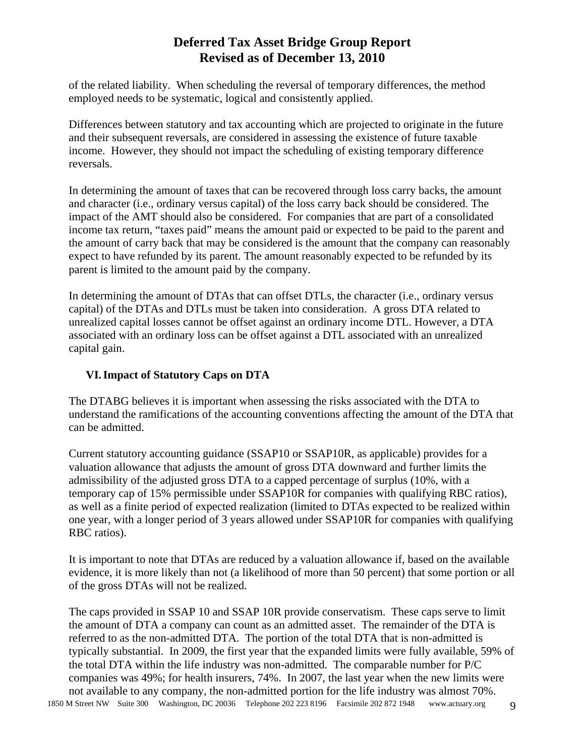of the related liability. When scheduling the reversal of temporary differences, the method employed needs to be systematic, logical and consistently applied.

Differences between statutory and tax accounting which are projected to originate in the future and their subsequent reversals, are considered in assessing the existence of future taxable income. However, they should not impact the scheduling of existing temporary difference reversals.

In determining the amount of taxes that can be recovered through loss carry backs, the amount and character (i.e., ordinary versus capital) of the loss carry back should be considered. The impact of the AMT should also be considered. For companies that are part of a consolidated income tax return, "taxes paid" means the amount paid or expected to be paid to the parent and the amount of carry back that may be considered is the amount that the company can reasonably expect to have refunded by its parent. The amount reasonably expected to be refunded by its parent is limited to the amount paid by the company.

In determining the amount of DTAs that can offset DTLs, the character (i.e., ordinary versus capital) of the DTAs and DTLs must be taken into consideration. A gross DTA related to unrealized capital losses cannot be offset against an ordinary income DTL. However, a DTA associated with an ordinary loss can be offset against a DTL associated with an unrealized capital gain.

### **VI.Impact of Statutory Caps on DTA**

The DTABG believes it is important when assessing the risks associated with the DTA to understand the ramifications of the accounting conventions affecting the amount of the DTA that can be admitted.

Current statutory accounting guidance (SSAP10 or SSAP10R, as applicable) provides for a valuation allowance that adjusts the amount of gross DTA downward and further limits the admissibility of the adjusted gross DTA to a capped percentage of surplus (10%, with a temporary cap of 15% permissible under SSAP10R for companies with qualifying RBC ratios), as well as a finite period of expected realization (limited to DTAs expected to be realized within one year, with a longer period of 3 years allowed under SSAP10R for companies with qualifying RBC ratios).

It is important to note that DTAs are reduced by a valuation allowance if, based on the available evidence, it is more likely than not (a likelihood of more than 50 percent) that some portion or all of the gross DTAs will not be realized.

The caps provided in SSAP 10 and SSAP 10R provide conservatism. These caps serve to limit the amount of DTA a company can count as an admitted asset. The remainder of the DTA is referred to as the non-admitted DTA. The portion of the total DTA that is non-admitted is typically substantial. In 2009, the first year that the expanded limits were fully available, 59% of the total DTA within the life industry was non-admitted. The comparable number for P/C companies was 49%; for health insurers, 74%. In 2007, the last year when the new limits were not available to any company, the non-admitted portion for the life industry was almost 70%.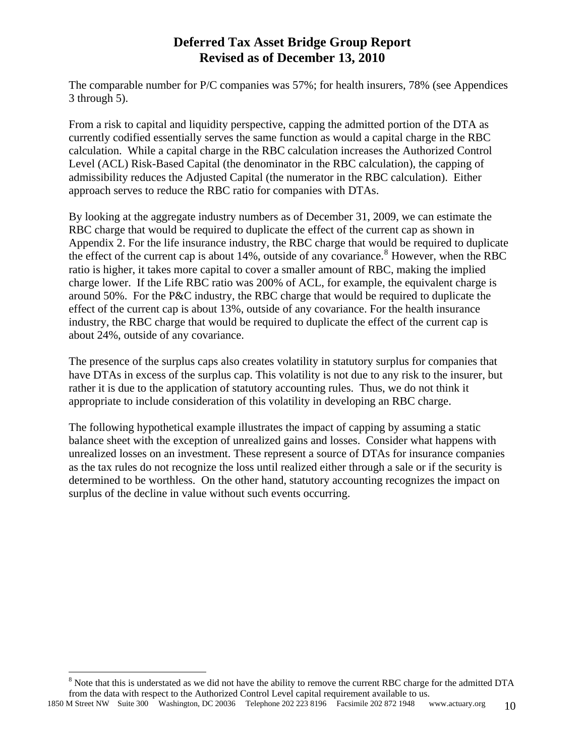The comparable number for P/C companies was 57%; for health insurers, 78% (see Appendices 3 through 5).

From a risk to capital and liquidity perspective, capping the admitted portion of the DTA as currently codified essentially serves the same function as would a capital charge in the RBC calculation. While a capital charge in the RBC calculation increases the Authorized Control Level (ACL) Risk-Based Capital (the denominator in the RBC calculation), the capping of admissibility reduces the Adjusted Capital (the numerator in the RBC calculation). Either approach serves to reduce the RBC ratio for companies with DTAs.

By looking at the aggregate industry numbers as of December 31, 2009, we can estimate the RBC charge that would be required to duplicate the effect of the current cap as shown in Appendix 2. For the life insurance industry, the RBC charge that would be required to duplicate the effect of the current cap is about 14%, outside of any covariance.<sup>[8](#page-9-0)</sup> However, when the RBC ratio is higher, it takes more capital to cover a smaller amount of RBC, making the implied charge lower. If the Life RBC ratio was 200% of ACL, for example, the equivalent charge is around 50%. For the P&C industry, the RBC charge that would be required to duplicate the effect of the current cap is about 13%, outside of any covariance. For the health insurance industry, the RBC charge that would be required to duplicate the effect of the current cap is about 24%, outside of any covariance.

The presence of the surplus caps also creates volatility in statutory surplus for companies that have DTAs in excess of the surplus cap. This volatility is not due to any risk to the insurer, but rather it is due to the application of statutory accounting rules. Thus, we do not think it appropriate to include consideration of this volatility in developing an RBC charge.

The following hypothetical example illustrates the impact of capping by assuming a static balance sheet with the exception of unrealized gains and losses. Consider what happens with unrealized losses on an investment. These represent a source of DTAs for insurance companies as the tax rules do not recognize the loss until realized either through a sale or if the security is determined to be worthless. On the other hand, statutory accounting recognizes the impact on surplus of the decline in value without such events occurring.

<span id="page-9-0"></span> $\overline{a}$  $8$  Note that this is understated as we did not have the ability to remove the current RBC charge for the admitted DTA from the data with respect to the Authorized Control Level capital requirement available to us.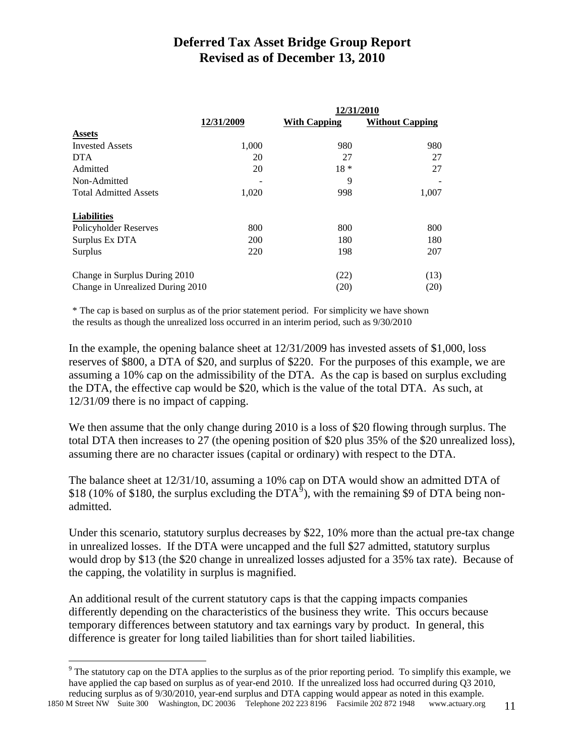|                                  |            | 12/31/2010          |                        |
|----------------------------------|------------|---------------------|------------------------|
|                                  | 12/31/2009 | <b>With Capping</b> | <b>Without Capping</b> |
| <b>Assets</b>                    |            |                     |                        |
| <b>Invested Assets</b>           | 1,000      | 980                 | 980                    |
| <b>DTA</b>                       | 20         | 27                  | 27                     |
| Admitted                         | 20         | $18 *$              | 27                     |
| Non-Admitted                     |            | 9                   |                        |
| <b>Total Admitted Assets</b>     | 1,020      | 998                 | 1,007                  |
| <b>Liabilities</b>               |            |                     |                        |
| Policyholder Reserves            | 800        | 800                 | 800                    |
| Surplus Ex DTA                   | <b>200</b> | 180                 | 180                    |
| Surplus                          | 220        | 198                 | 207                    |
| Change in Surplus During 2010    |            | (22)                | (13)                   |
| Change in Unrealized During 2010 |            | (20)                | (20)                   |

\* The cap is based on surplus as of the prior statement period. For simplicity we have shown the results as though the unrealized loss occurred in an interim period, such as 9/30/2010

In the example, the opening balance sheet at 12/31/2009 has invested assets of \$1,000, loss reserves of \$800, a DTA of \$20, and surplus of \$220. For the purposes of this example, we are assuming a 10% cap on the admissibility of the DTA. As the cap is based on surplus excluding the DTA, the effective cap would be \$20, which is the value of the total DTA. As such, at 12/31/09 there is no impact of capping.

We then assume that the only change during 2010 is a loss of \$20 flowing through surplus. The total DTA then increases to 27 (the opening position of \$20 plus 35% of the \$20 unrealized loss), assuming there are no character issues (capital or ordinary) with respect to the DTA.

The balance sheet at 12/31/10, assuming a 10% cap on DTA would show an admitted DTA of \$18 (10% of \$180, the surplus excluding the DTA<sup>5</sup>), with the remaining \$[9](#page-10-0) of DTA being nonadmitted.

Under this scenario, statutory surplus decreases by \$22, 10% more than the actual pre-tax change in unrealized losses. If the DTA were uncapped and the full \$27 admitted, statutory surplus would drop by \$13 (the \$20 change in unrealized losses adjusted for a 35% tax rate). Because of the capping, the volatility in surplus is magnified.

An additional result of the current statutory caps is that the capping impacts companies differently depending on the characteristics of the business they write. This occurs because temporary differences between statutory and tax earnings vary by product. In general, this difference is greater for long tailed liabilities than for short tailed liabilities.

<span id="page-10-0"></span>1850 M Street NW Suite 300 Washington, DC 20036 Telephone 202 223 8196 Facsimile 202 872 1948 www.actuary.org 11

 $\overline{a}$ 

<sup>&</sup>lt;sup>9</sup> The statutory cap on the DTA applies to the surplus as of the prior reporting period. To simplify this example, we have applied the cap based on surplus as of year-end 2010. If the unrealized loss had occurred during Q3 2010, reducing surplus as of 9/30/2010, year-end surplus and DTA capping would appear as noted in this example.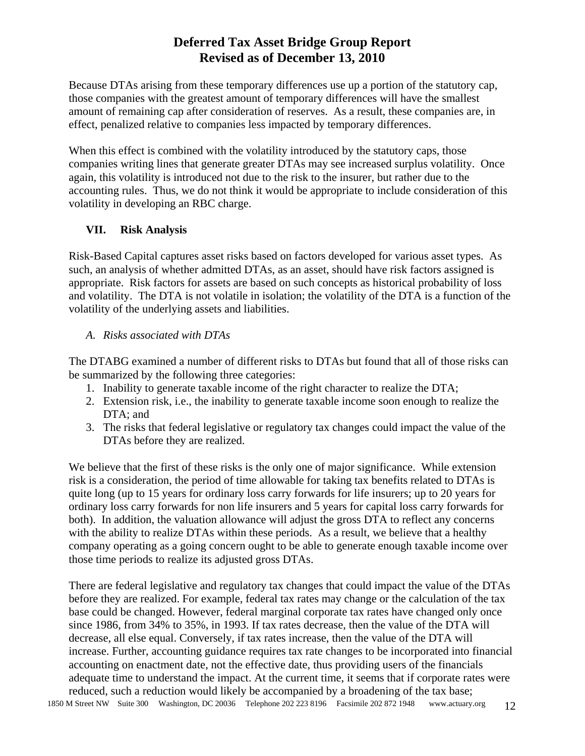Because DTAs arising from these temporary differences use up a portion of the statutory cap, those companies with the greatest amount of temporary differences will have the smallest amount of remaining cap after consideration of reserves. As a result, these companies are, in effect, penalized relative to companies less impacted by temporary differences.

When this effect is combined with the volatility introduced by the statutory caps, those companies writing lines that generate greater DTAs may see increased surplus volatility. Once again, this volatility is introduced not due to the risk to the insurer, but rather due to the accounting rules. Thus, we do not think it would be appropriate to include consideration of this volatility in developing an RBC charge.

### **VII. Risk Analysis**

Risk-Based Capital captures asset risks based on factors developed for various asset types. As such, an analysis of whether admitted DTAs, as an asset, should have risk factors assigned is appropriate. Risk factors for assets are based on such concepts as historical probability of loss and volatility. The DTA is not volatile in isolation; the volatility of the DTA is a function of the volatility of the underlying assets and liabilities.

### *A. Risks associated with DTAs*

The DTABG examined a number of different risks to DTAs but found that all of those risks can be summarized by the following three categories:

- 1. Inability to generate taxable income of the right character to realize the DTA;
- 2. Extension risk, i.e., the inability to generate taxable income soon enough to realize the DTA; and
- 3. The risks that federal legislative or regulatory tax changes could impact the value of the DTAs before they are realized.

We believe that the first of these risks is the only one of major significance. While extension risk is a consideration, the period of time allowable for taking tax benefits related to DTAs is quite long (up to 15 years for ordinary loss carry forwards for life insurers; up to 20 years for ordinary loss carry forwards for non life insurers and 5 years for capital loss carry forwards for both). In addition, the valuation allowance will adjust the gross DTA to reflect any concerns with the ability to realize DTAs within these periods. As a result, we believe that a healthy company operating as a going concern ought to be able to generate enough taxable income over those time periods to realize its adjusted gross DTAs.

There are federal legislative and regulatory tax changes that could impact the value of the DTAs before they are realized. For example, federal tax rates may change or the calculation of the tax base could be changed. However, federal marginal corporate tax rates have changed only once since 1986, from 34% to 35%, in 1993. If tax rates decrease, then the value of the DTA will decrease, all else equal. Conversely, if tax rates increase, then the value of the DTA will increase. Further, accounting guidance requires tax rate changes to be incorporated into financial accounting on enactment date, not the effective date, thus providing users of the financials adequate time to understand the impact. At the current time, it seems that if corporate rates were reduced, such a reduction would likely be accompanied by a broadening of the tax base;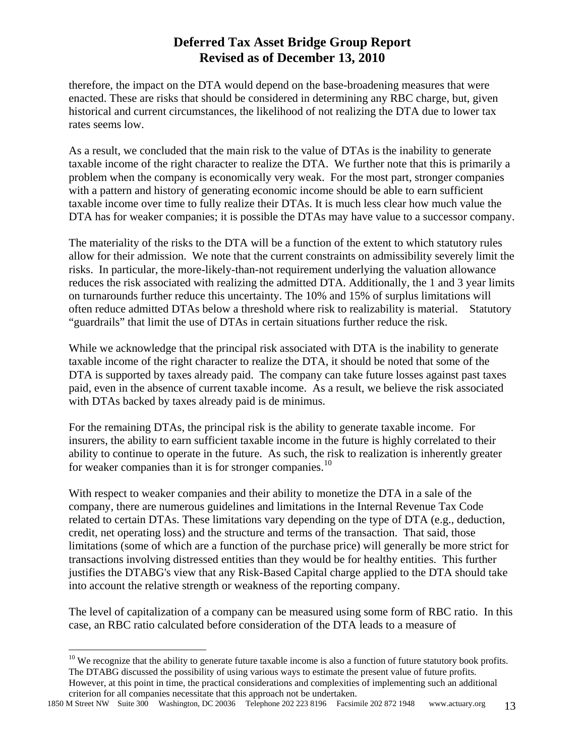therefore, the impact on the DTA would depend on the base-broadening measures that were enacted. These are risks that should be considered in determining any RBC charge, but, given historical and current circumstances, the likelihood of not realizing the DTA due to lower tax rates seems low.

As a result, we concluded that the main risk to the value of DTAs is the inability to generate taxable income of the right character to realize the DTA. We further note that this is primarily a problem when the company is economically very weak. For the most part, stronger companies with a pattern and history of generating economic income should be able to earn sufficient taxable income over time to fully realize their DTAs. It is much less clear how much value the DTA has for weaker companies; it is possible the DTAs may have value to a successor company.

The materiality of the risks to the DTA will be a function of the extent to which statutory rules allow for their admission. We note that the current constraints on admissibility severely limit the risks. In particular, the more-likely-than-not requirement underlying the valuation allowance reduces the risk associated with realizing the admitted DTA. Additionally, the 1 and 3 year limits on turnarounds further reduce this uncertainty. The 10% and 15% of surplus limitations will often reduce admitted DTAs below a threshold where risk to realizability is material. Statutory "guardrails" that limit the use of DTAs in certain situations further reduce the risk.

While we acknowledge that the principal risk associated with DTA is the inability to generate taxable income of the right character to realize the DTA, it should be noted that some of the DTA is supported by taxes already paid. The company can take future losses against past taxes paid, even in the absence of current taxable income. As a result, we believe the risk associated with DTAs backed by taxes already paid is de minimus.

For the remaining DTAs, the principal risk is the ability to generate taxable income. For insurers, the ability to earn sufficient taxable income in the future is highly correlated to their ability to continue to operate in the future. As such, the risk to realization is inherently greater for weaker companies than it is for stronger companies.<sup>[10](#page-12-0)</sup>

With respect to weaker companies and their ability to monetize the DTA in a sale of the company, there are numerous guidelines and limitations in the Internal Revenue Tax Code related to certain DTAs. These limitations vary depending on the type of DTA (e.g., deduction, credit, net operating loss) and the structure and terms of the transaction. That said, those limitations (some of which are a function of the purchase price) will generally be more strict for transactions involving distressed entities than they would be for healthy entities. This further justifies the DTABG's view that any Risk-Based Capital charge applied to the DTA should take into account the relative strength or weakness of the reporting company.

The level of capitalization of a company can be measured using some form of RBC ratio. In this case, an RBC ratio calculated before consideration of the DTA leads to a measure of

 $\overline{a}$ 

<span id="page-12-0"></span> $10$  We recognize that the ability to generate future taxable income is also a function of future statutory book profits. The DTABG discussed the possibility of using various ways to estimate the present value of future profits. However, at this point in time, the practical considerations and complexities of implementing such an additional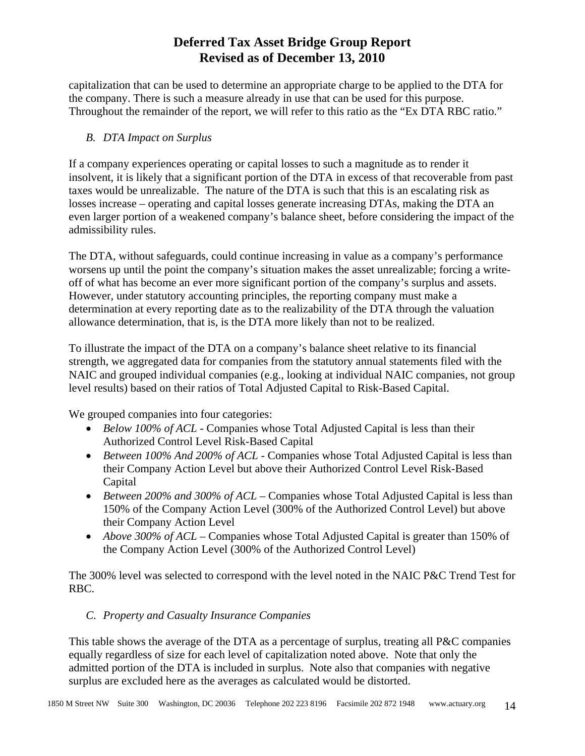capitalization that can be used to determine an appropriate charge to be applied to the DTA for the company. There is such a measure already in use that can be used for this purpose. Throughout the remainder of the report, we will refer to this ratio as the "Ex DTA RBC ratio."

### *B. DTA Impact on Surplus*

If a company experiences operating or capital losses to such a magnitude as to render it insolvent, it is likely that a significant portion of the DTA in excess of that recoverable from past taxes would be unrealizable. The nature of the DTA is such that this is an escalating risk as losses increase – operating and capital losses generate increasing DTAs, making the DTA an even larger portion of a weakened company's balance sheet, before considering the impact of the admissibility rules.

The DTA, without safeguards, could continue increasing in value as a company's performance worsens up until the point the company's situation makes the asset unrealizable; forcing a writeoff of what has become an ever more significant portion of the company's surplus and assets. However, under statutory accounting principles, the reporting company must make a determination at every reporting date as to the realizability of the DTA through the valuation allowance determination, that is, is the DTA more likely than not to be realized.

To illustrate the impact of the DTA on a company's balance sheet relative to its financial strength, we aggregated data for companies from the statutory annual statements filed with the NAIC and grouped individual companies (e.g., looking at individual NAIC companies, not group level results) based on their ratios of Total Adjusted Capital to Risk-Based Capital.

We grouped companies into four categories:

- *Below 100% of ACL* Companies whose Total Adjusted Capital is less than their Authorized Control Level Risk-Based Capital
- *Between 100% And 200% of ACL* Companies whose Total Adjusted Capital is less than their Company Action Level but above their Authorized Control Level Risk-Based Capital
- *Between 200% and 300% of ACL* Companies whose Total Adjusted Capital is less than 150% of the Company Action Level (300% of the Authorized Control Level) but above their Company Action Level
- *Above 300% of ACL* Companies whose Total Adjusted Capital is greater than 150% of the Company Action Level (300% of the Authorized Control Level)

The 300% level was selected to correspond with the level noted in the NAIC P&C Trend Test for RBC.

### *C. Property and Casualty Insurance Companies*

This table shows the average of the DTA as a percentage of surplus, treating all P&C companies equally regardless of size for each level of capitalization noted above. Note that only the admitted portion of the DTA is included in surplus. Note also that companies with negative surplus are excluded here as the averages as calculated would be distorted.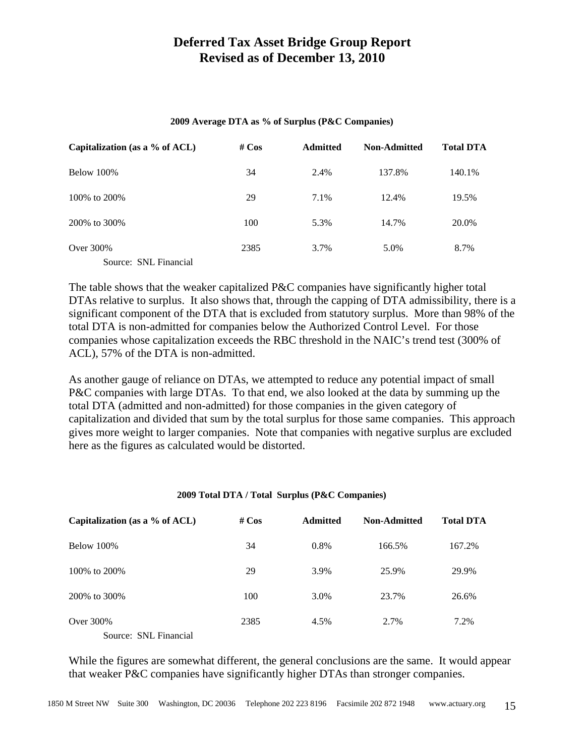#### **2009 Average DTA as % of Surplus (P&C Companies)**

| Capitalization (as a $%$ of ACL) | # $Cos$ | <b>Admitted</b> | <b>Non-Admitted</b> | <b>Total DTA</b> |
|----------------------------------|---------|-----------------|---------------------|------------------|
| Below 100%                       | 34      | 2.4%            | 137.8%              | 140.1%           |
| 100\% to 200\%                   | 29      | 7.1%            | 12.4%               | 19.5%            |
| 200\% to 300\%                   | 100     | 5.3%            | 14.7%               | 20.0%            |
| Over 300\%                       | 2385    | 3.7%            | 5.0%                | 8.7%             |
| Source: SNL Financial            |         |                 |                     |                  |

The table shows that the weaker capitalized P&C companies have significantly higher total DTAs relative to surplus. It also shows that, through the capping of DTA admissibility, there is a significant component of the DTA that is excluded from statutory surplus. More than 98% of the total DTA is non-admitted for companies below the Authorized Control Level. For those companies whose capitalization exceeds the RBC threshold in the NAIC's trend test (300% of ACL), 57% of the DTA is non-admitted.

As another gauge of reliance on DTAs, we attempted to reduce any potential impact of small P&C companies with large DTAs. To that end, we also looked at the data by summing up the total DTA (admitted and non-admitted) for those companies in the given category of capitalization and divided that sum by the total surplus for those same companies. This approach gives more weight to larger companies. Note that companies with negative surplus are excluded here as the figures as calculated would be distorted.

#### **2009 Total DTA / Total Surplus (P&C Companies)**

| Capitalization (as a $%$ of ACL) | # $Cos$<br><b>Admitted</b> |         | <b>Non-Admitted</b> | <b>Total DTA</b> |  |
|----------------------------------|----------------------------|---------|---------------------|------------------|--|
| Below 100%                       | 34                         | $0.8\%$ | 166.5%              | 167.2%           |  |
| 100\% to 200\%                   | 29                         | 3.9%    | 25.9%               | 29.9%            |  |
| 200\% to 300\%                   | 100                        | 3.0%    | 23.7%               | 26.6%            |  |
| Over 300\%                       | 2385                       | 4.5%    | 2.7%                | 7.2%             |  |
| Source: SNL Financial            |                            |         |                     |                  |  |

While the figures are somewhat different, the general conclusions are the same. It would appear that weaker P&C companies have significantly higher DTAs than stronger companies.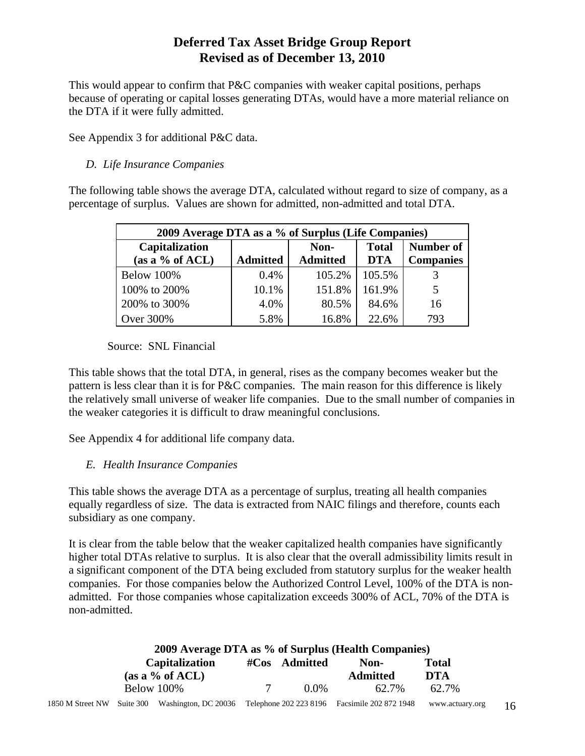This would appear to confirm that P&C companies with weaker capital positions, perhaps because of operating or capital losses generating DTAs, would have a more material reliance on the DTA if it were fully admitted.

See Appendix 3 for additional P&C data.

#### *D. Life Insurance Companies*

The following table shows the average DTA, calculated without regard to size of company, as a percentage of surplus. Values are shown for admitted, non-admitted and total DTA.

| 2009 Average DTA as a % of Surplus (Life Companies) |                 |                         |                            |                               |  |  |  |  |
|-----------------------------------------------------|-----------------|-------------------------|----------------------------|-------------------------------|--|--|--|--|
| Capitalization<br>(as a $%$ of ACL)                 | <b>Admitted</b> | Non-<br><b>Admitted</b> | <b>Total</b><br><b>DTA</b> | Number of<br><b>Companies</b> |  |  |  |  |
| <b>Below 100%</b>                                   | $0.4\%$         | 105.2%                  | 105.5%                     |                               |  |  |  |  |
| 100% to 200%                                        | 10.1%           | 151.8%                  | 161.9%                     | 5                             |  |  |  |  |
| 200% to 300%                                        | 4.0%            | 80.5%                   | 84.6%                      | 16                            |  |  |  |  |
| Over 300%                                           | 5.8%            | 16.8%                   | 22.6%                      | 793                           |  |  |  |  |

Source: SNL Financial

This table shows that the total DTA, in general, rises as the company becomes weaker but the pattern is less clear than it is for P&C companies. The main reason for this difference is likely the relatively small universe of weaker life companies. Due to the small number of companies in the weaker categories it is difficult to draw meaningful conclusions.

See Appendix 4 for additional life company data.

### *E. Health Insurance Companies*

This table shows the average DTA as a percentage of surplus, treating all health companies equally regardless of size. The data is extracted from NAIC filings and therefore, counts each subsidiary as one company.

It is clear from the table below that the weaker capitalized health companies have significantly higher total DTAs relative to surplus. It is also clear that the overall admissibility limits result in a significant component of the DTA being excluded from statutory surplus for the weaker health companies. For those companies below the Authorized Control Level, 100% of the DTA is nonadmitted. For those companies whose capitalization exceeds 300% of ACL, 70% of the DTA is non-admitted.

| 2009 Average DTA as % of Surplus (Health Companies) |  |                                                                                               |  |         |                 |                 |    |
|-----------------------------------------------------|--|-----------------------------------------------------------------------------------------------|--|---------|-----------------|-----------------|----|
| <b>Capitalization</b>                               |  | #Cos Admitted<br>Non-                                                                         |  |         | Total           |                 |    |
|                                                     |  | (as a % of ACL)                                                                               |  |         | <b>Admitted</b> | DTA             |    |
|                                                     |  | Below 100%                                                                                    |  | $0.0\%$ | 62.7%           | 62.7%           |    |
|                                                     |  | 1850 M Street NW Suite 300 Washington, DC 20036 Telephone 202 223 8196 Facsimile 202 872 1948 |  |         |                 | www.actuary.org | 16 |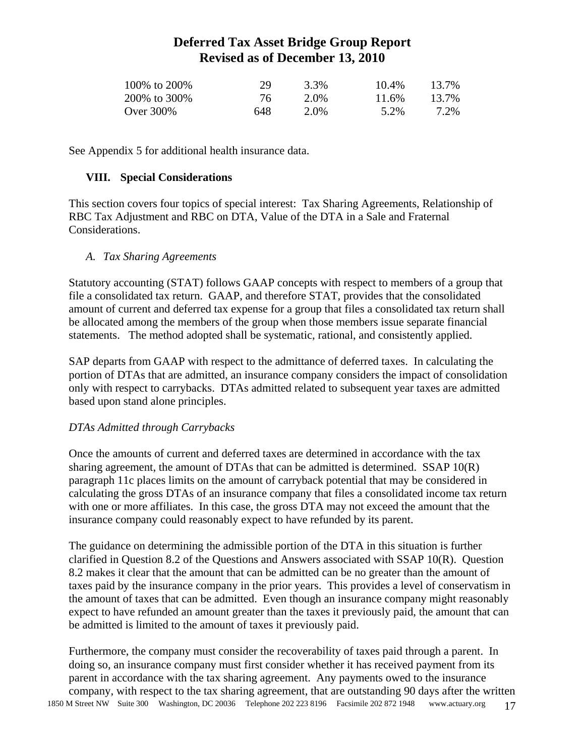| 100\% to 200\% | 29  | 3.3% | 10.4% | 13.7% |
|----------------|-----|------|-------|-------|
| 200\% to 300\% | 76. | 2.0% | 11.6% | 13.7% |
| Over 300\%     | 648 | 2.0% | 5.2%  | 7.2%  |

See Appendix 5 for additional health insurance data.

#### **VIII. Special Considerations**

This section covers four topics of special interest: Tax Sharing Agreements, Relationship of RBC Tax Adjustment and RBC on DTA, Value of the DTA in a Sale and Fraternal Considerations.

#### *A. Tax Sharing Agreements*

Statutory accounting (STAT) follows GAAP concepts with respect to members of a group that file a consolidated tax return. GAAP, and therefore STAT, provides that the consolidated amount of current and deferred tax expense for a group that files a consolidated tax return shall be allocated among the members of the group when those members issue separate financial statements. The method adopted shall be systematic, rational, and consistently applied.

SAP departs from GAAP with respect to the admittance of deferred taxes. In calculating the portion of DTAs that are admitted, an insurance company considers the impact of consolidation only with respect to carrybacks. DTAs admitted related to subsequent year taxes are admitted based upon stand alone principles.

#### *DTAs Admitted through Carrybacks*

Once the amounts of current and deferred taxes are determined in accordance with the tax sharing agreement, the amount of DTAs that can be admitted is determined. SSAP 10(R) paragraph 11c places limits on the amount of carryback potential that may be considered in calculating the gross DTAs of an insurance company that files a consolidated income tax return with one or more affiliates. In this case, the gross DTA may not exceed the amount that the insurance company could reasonably expect to have refunded by its parent.

The guidance on determining the admissible portion of the DTA in this situation is further clarified in Question 8.2 of the Questions and Answers associated with SSAP 10(R). Question 8.2 makes it clear that the amount that can be admitted can be no greater than the amount of taxes paid by the insurance company in the prior years. This provides a level of conservatism in the amount of taxes that can be admitted. Even though an insurance company might reasonably expect to have refunded an amount greater than the taxes it previously paid, the amount that can be admitted is limited to the amount of taxes it previously paid.

1850 M Street NW Suite 300 Washington, DC 20036 Telephone 202 223 8196 Facsimile 202 872 1948 www.actuary.org 17 Furthermore, the company must consider the recoverability of taxes paid through a parent. In doing so, an insurance company must first consider whether it has received payment from its parent in accordance with the tax sharing agreement. Any payments owed to the insurance company, with respect to the tax sharing agreement, that are outstanding 90 days after the written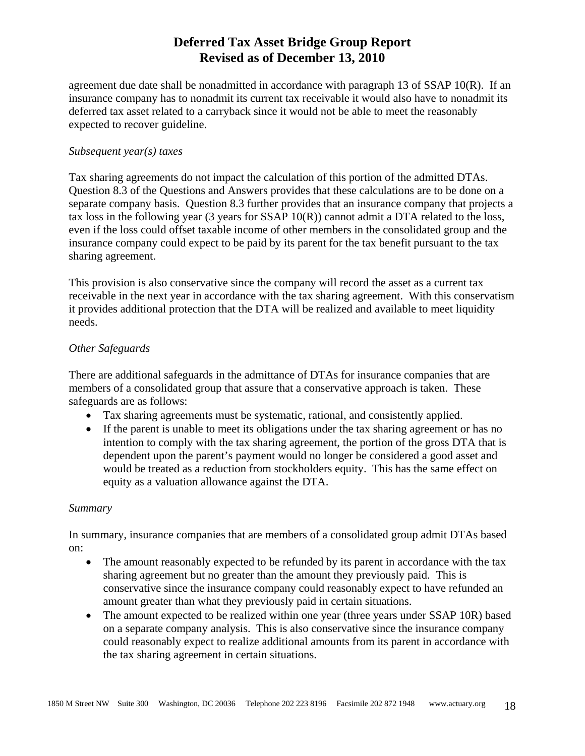agreement due date shall be nonadmitted in accordance with paragraph 13 of SSAP 10(R). If an insurance company has to nonadmit its current tax receivable it would also have to nonadmit its deferred tax asset related to a carryback since it would not be able to meet the reasonably expected to recover guideline.

#### *Subsequent year(s) taxes*

Tax sharing agreements do not impact the calculation of this portion of the admitted DTAs. Question 8.3 of the Questions and Answers provides that these calculations are to be done on a separate company basis. Question 8.3 further provides that an insurance company that projects a tax loss in the following year (3 years for SSAP 10(R)) cannot admit a DTA related to the loss, even if the loss could offset taxable income of other members in the consolidated group and the insurance company could expect to be paid by its parent for the tax benefit pursuant to the tax sharing agreement.

This provision is also conservative since the company will record the asset as a current tax receivable in the next year in accordance with the tax sharing agreement. With this conservatism it provides additional protection that the DTA will be realized and available to meet liquidity needs.

#### *Other Safeguards*

There are additional safeguards in the admittance of DTAs for insurance companies that are members of a consolidated group that assure that a conservative approach is taken. These safeguards are as follows:

- Tax sharing agreements must be systematic, rational, and consistently applied.
- If the parent is unable to meet its obligations under the tax sharing agreement or has no intention to comply with the tax sharing agreement, the portion of the gross DTA that is dependent upon the parent's payment would no longer be considered a good asset and would be treated as a reduction from stockholders equity. This has the same effect on equity as a valuation allowance against the DTA.

#### *Summary*

In summary, insurance companies that are members of a consolidated group admit DTAs based on:

- The amount reasonably expected to be refunded by its parent in accordance with the tax sharing agreement but no greater than the amount they previously paid. This is conservative since the insurance company could reasonably expect to have refunded an amount greater than what they previously paid in certain situations.
- The amount expected to be realized within one year (three years under SSAP 10R) based on a separate company analysis. This is also conservative since the insurance company could reasonably expect to realize additional amounts from its parent in accordance with the tax sharing agreement in certain situations.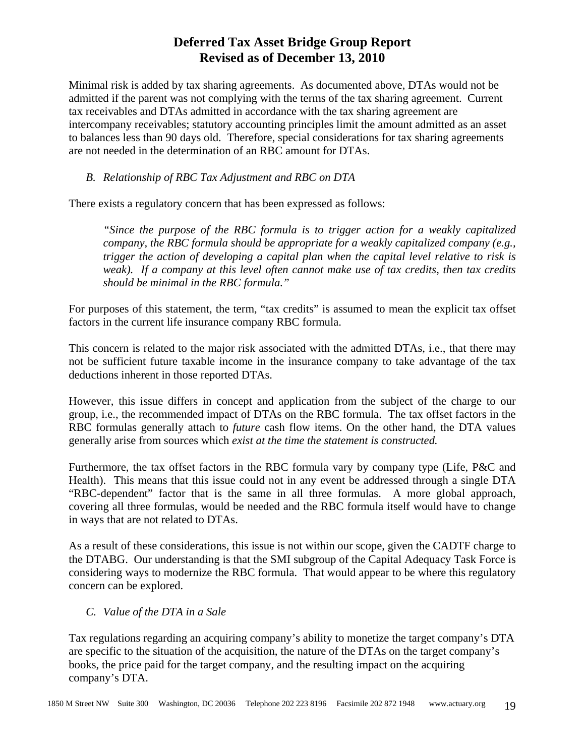Minimal risk is added by tax sharing agreements. As documented above, DTAs would not be admitted if the parent was not complying with the terms of the tax sharing agreement. Current tax receivables and DTAs admitted in accordance with the tax sharing agreement are intercompany receivables; statutory accounting principles limit the amount admitted as an asset to balances less than 90 days old. Therefore, special considerations for tax sharing agreements are not needed in the determination of an RBC amount for DTAs.

#### *B. Relationship of RBC Tax Adjustment and RBC on DTA*

There exists a regulatory concern that has been expressed as follows:

*"Since the purpose of the RBC formula is to trigger action for a weakly capitalized company, the RBC formula should be appropriate for a weakly capitalized company (e.g., trigger the action of developing a capital plan when the capital level relative to risk is weak). If a company at this level often cannot make use of tax credits, then tax credits should be minimal in the RBC formula."* 

For purposes of this statement, the term, "tax credits" is assumed to mean the explicit tax offset factors in the current life insurance company RBC formula.

This concern is related to the major risk associated with the admitted DTAs, i.e., that there may not be sufficient future taxable income in the insurance company to take advantage of the tax deductions inherent in those reported DTAs.

However, this issue differs in concept and application from the subject of the charge to our group, i.e., the recommended impact of DTAs on the RBC formula. The tax offset factors in the RBC formulas generally attach to *future* cash flow items. On the other hand, the DTA values generally arise from sources which *exist at the time the statement is constructed.*

Furthermore, the tax offset factors in the RBC formula vary by company type (Life, P&C and Health). This means that this issue could not in any event be addressed through a single DTA "RBC-dependent" factor that is the same in all three formulas. A more global approach, covering all three formulas, would be needed and the RBC formula itself would have to change in ways that are not related to DTAs.

As a result of these considerations, this issue is not within our scope, given the CADTF charge to the DTABG. Our understanding is that the SMI subgroup of the Capital Adequacy Task Force is considering ways to modernize the RBC formula. That would appear to be where this regulatory concern can be explored.

#### *C. Value of the DTA in a Sale*

Tax regulations regarding an acquiring company's ability to monetize the target company's DTA are specific to the situation of the acquisition, the nature of the DTAs on the target company's books, the price paid for the target company, and the resulting impact on the acquiring company's DTA.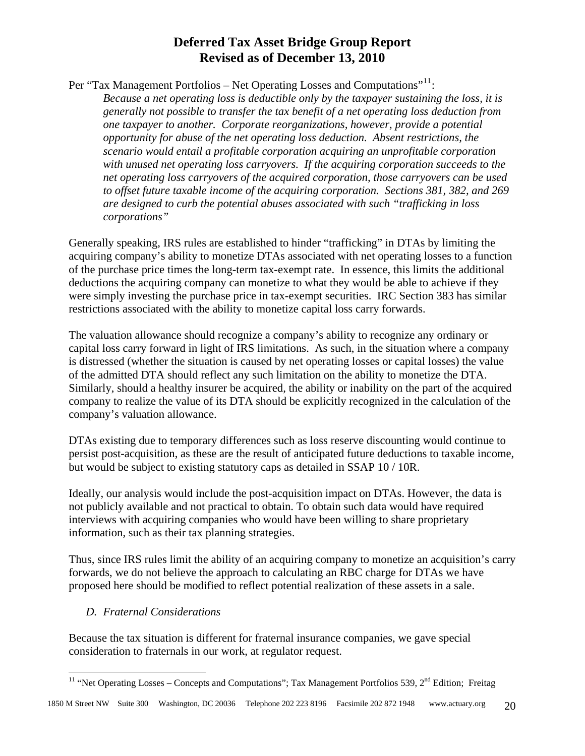Per "Tax Management Portfolios – Net Operating Losses and Computations"<sup>[11](#page-19-0)</sup>:

*Because a net operating loss is deductible only by the taxpayer sustaining the loss, it is generally not possible to transfer the tax benefit of a net operating loss deduction from one taxpayer to another. Corporate reorganizations, however, provide a potential opportunity for abuse of the net operating loss deduction. Absent restrictions, the scenario would entail a profitable corporation acquiring an unprofitable corporation with unused net operating loss carryovers. If the acquiring corporation succeeds to the net operating loss carryovers of the acquired corporation, those carryovers can be used to offset future taxable income of the acquiring corporation. Sections 381, 382, and 269 are designed to curb the potential abuses associated with such "trafficking in loss corporations"* 

Generally speaking, IRS rules are established to hinder "trafficking" in DTAs by limiting the acquiring company's ability to monetize DTAs associated with net operating losses to a function of the purchase price times the long-term tax-exempt rate. In essence, this limits the additional deductions the acquiring company can monetize to what they would be able to achieve if they were simply investing the purchase price in tax-exempt securities. IRC Section 383 has similar restrictions associated with the ability to monetize capital loss carry forwards.

The valuation allowance should recognize a company's ability to recognize any ordinary or capital loss carry forward in light of IRS limitations. As such, in the situation where a company is distressed (whether the situation is caused by net operating losses or capital losses) the value of the admitted DTA should reflect any such limitation on the ability to monetize the DTA. Similarly, should a healthy insurer be acquired, the ability or inability on the part of the acquired company to realize the value of its DTA should be explicitly recognized in the calculation of the company's valuation allowance.

DTAs existing due to temporary differences such as loss reserve discounting would continue to persist post-acquisition, as these are the result of anticipated future deductions to taxable income, but would be subject to existing statutory caps as detailed in SSAP 10 / 10R.

Ideally, our analysis would include the post-acquisition impact on DTAs. However, the data is not publicly available and not practical to obtain. To obtain such data would have required interviews with acquiring companies who would have been willing to share proprietary information, such as their tax planning strategies.

Thus, since IRS rules limit the ability of an acquiring company to monetize an acquisition's carry forwards, we do not believe the approach to calculating an RBC charge for DTAs we have proposed here should be modified to reflect potential realization of these assets in a sale.

### *D. Fraternal Considerations*

Because the tax situation is different for fraternal insurance companies, we gave special consideration to fraternals in our work, at regulator request.

<span id="page-19-0"></span> $\overline{a}$ <sup>11</sup> "Net Operating Losses – Concepts and Computations"; Tax Management Portfolios 539,  $2^{nd}$  Edition; Freitag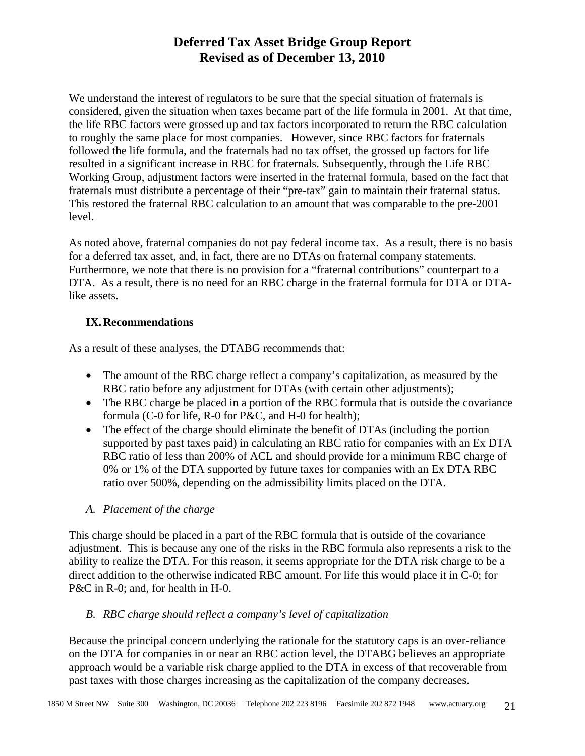We understand the interest of regulators to be sure that the special situation of fraternals is considered, given the situation when taxes became part of the life formula in 2001. At that time, the life RBC factors were grossed up and tax factors incorporated to return the RBC calculation to roughly the same place for most companies. However, since RBC factors for fraternals followed the life formula, and the fraternals had no tax offset, the grossed up factors for life resulted in a significant increase in RBC for fraternals. Subsequently, through the Life RBC Working Group, adjustment factors were inserted in the fraternal formula, based on the fact that fraternals must distribute a percentage of their "pre-tax" gain to maintain their fraternal status. This restored the fraternal RBC calculation to an amount that was comparable to the pre-2001 level.

As noted above, fraternal companies do not pay federal income tax. As a result, there is no basis for a deferred tax asset, and, in fact, there are no DTAs on fraternal company statements. Furthermore, we note that there is no provision for a "fraternal contributions" counterpart to a DTA. As a result, there is no need for an RBC charge in the fraternal formula for DTA or DTAlike assets.

### **IX.Recommendations**

As a result of these analyses, the DTABG recommends that:

- The amount of the RBC charge reflect a company's capitalization, as measured by the RBC ratio before any adjustment for DTAs (with certain other adjustments);
- The RBC charge be placed in a portion of the RBC formula that is outside the covariance formula (C-0 for life, R-0 for P&C, and H-0 for health);
- The effect of the charge should eliminate the benefit of DTAs (including the portion supported by past taxes paid) in calculating an RBC ratio for companies with an Ex DTA RBC ratio of less than 200% of ACL and should provide for a minimum RBC charge of 0% or 1% of the DTA supported by future taxes for companies with an Ex DTA RBC ratio over 500%, depending on the admissibility limits placed on the DTA.
- *A. Placement of the charge*

This charge should be placed in a part of the RBC formula that is outside of the covariance adjustment. This is because any one of the risks in the RBC formula also represents a risk to the ability to realize the DTA. For this reason, it seems appropriate for the DTA risk charge to be a direct addition to the otherwise indicated RBC amount. For life this would place it in C-0; for P&C in R-0; and, for health in H-0.

### *B. RBC charge should reflect a company's level of capitalization*

Because the principal concern underlying the rationale for the statutory caps is an over-reliance on the DTA for companies in or near an RBC action level, the DTABG believes an appropriate approach would be a variable risk charge applied to the DTA in excess of that recoverable from past taxes with those charges increasing as the capitalization of the company decreases.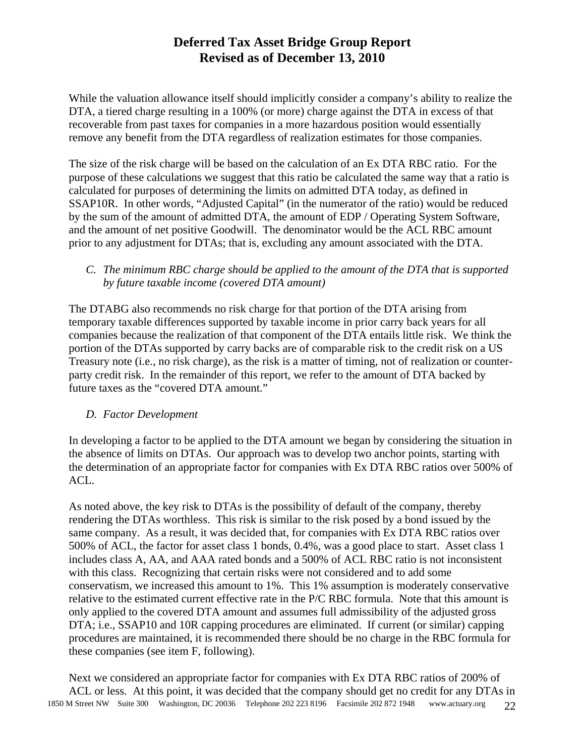While the valuation allowance itself should implicitly consider a company's ability to realize the DTA, a tiered charge resulting in a 100% (or more) charge against the DTA in excess of that recoverable from past taxes for companies in a more hazardous position would essentially remove any benefit from the DTA regardless of realization estimates for those companies.

The size of the risk charge will be based on the calculation of an Ex DTA RBC ratio. For the purpose of these calculations we suggest that this ratio be calculated the same way that a ratio is calculated for purposes of determining the limits on admitted DTA today, as defined in SSAP10R. In other words, "Adjusted Capital" (in the numerator of the ratio) would be reduced by the sum of the amount of admitted DTA, the amount of EDP / Operating System Software, and the amount of net positive Goodwill. The denominator would be the ACL RBC amount prior to any adjustment for DTAs; that is, excluding any amount associated with the DTA.

*C. The minimum RBC charge should be applied to the amount of the DTA that is supported by future taxable income (covered DTA amount)* 

The DTABG also recommends no risk charge for that portion of the DTA arising from temporary taxable differences supported by taxable income in prior carry back years for all companies because the realization of that component of the DTA entails little risk. We think the portion of the DTAs supported by carry backs are of comparable risk to the credit risk on a US Treasury note (i.e., no risk charge), as the risk is a matter of timing, not of realization or counterparty credit risk. In the remainder of this report, we refer to the amount of DTA backed by future taxes as the "covered DTA amount."

### *D. Factor Development*

In developing a factor to be applied to the DTA amount we began by considering the situation in the absence of limits on DTAs. Our approach was to develop two anchor points, starting with the determination of an appropriate factor for companies with Ex DTA RBC ratios over 500% of ACL.

As noted above, the key risk to DTAs is the possibility of default of the company, thereby rendering the DTAs worthless. This risk is similar to the risk posed by a bond issued by the same company. As a result, it was decided that, for companies with Ex DTA RBC ratios over 500% of ACL, the factor for asset class 1 bonds, 0.4%, was a good place to start. Asset class 1 includes class A, AA, and AAA rated bonds and a 500% of ACL RBC ratio is not inconsistent with this class. Recognizing that certain risks were not considered and to add some conservatism, we increased this amount to 1%. This 1% assumption is moderately conservative relative to the estimated current effective rate in the P/C RBC formula. Note that this amount is only applied to the covered DTA amount and assumes full admissibility of the adjusted gross DTA; i.e., SSAP10 and 10R capping procedures are eliminated. If current (or similar) capping procedures are maintained, it is recommended there should be no charge in the RBC formula for these companies (see item F, following).

1850 M Street NW Suite 300 Washington, DC 20036 Telephone 202 223 8196 Facsimile 202 872 1948 www.actuary.org 22 Next we considered an appropriate factor for companies with Ex DTA RBC ratios of 200% of ACL or less. At this point, it was decided that the company should get no credit for any DTAs in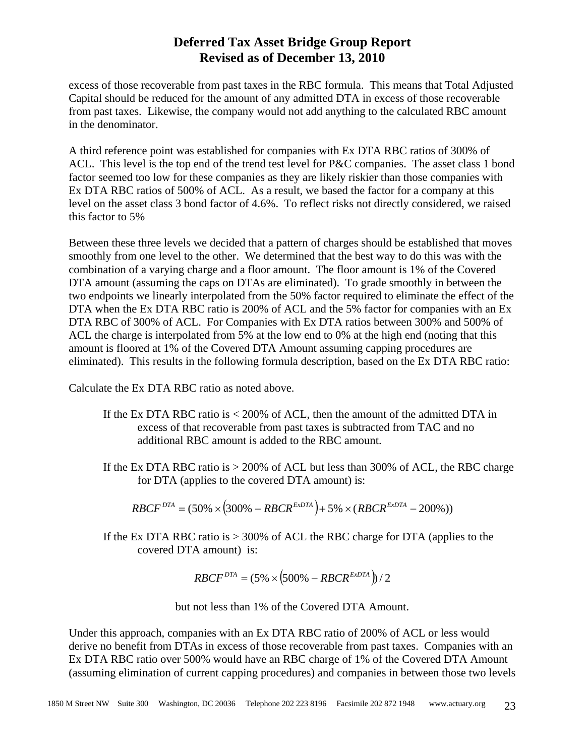excess of those recoverable from past taxes in the RBC formula. This means that Total Adjusted Capital should be reduced for the amount of any admitted DTA in excess of those recoverable from past taxes. Likewise, the company would not add anything to the calculated RBC amount in the denominator.

A third reference point was established for companies with Ex DTA RBC ratios of 300% of ACL. This level is the top end of the trend test level for P&C companies. The asset class 1 bond factor seemed too low for these companies as they are likely riskier than those companies with Ex DTA RBC ratios of 500% of ACL. As a result, we based the factor for a company at this level on the asset class 3 bond factor of 4.6%. To reflect risks not directly considered, we raised this factor to 5%

Between these three levels we decided that a pattern of charges should be established that moves smoothly from one level to the other. We determined that the best way to do this was with the combination of a varying charge and a floor amount. The floor amount is 1% of the Covered DTA amount (assuming the caps on DTAs are eliminated). To grade smoothly in between the two endpoints we linearly interpolated from the 50% factor required to eliminate the effect of the DTA when the Ex DTA RBC ratio is 200% of ACL and the 5% factor for companies with an Ex DTA RBC of 300% of ACL. For Companies with Ex DTA ratios between 300% and 500% of ACL the charge is interpolated from 5% at the low end to 0% at the high end (noting that this amount is floored at 1% of the Covered DTA Amount assuming capping procedures are eliminated). This results in the following formula description, based on the Ex DTA RBC ratio:

Calculate the Ex DTA RBC ratio as noted above.

- If the Ex DTA RBC ratio is < 200% of ACL, then the amount of the admitted DTA in excess of that recoverable from past taxes is subtracted from TAC and no additional RBC amount is added to the RBC amount.
- If the Ex DTA RBC ratio is > 200% of ACL but less than 300% of ACL, the RBC charge for DTA (applies to the covered DTA amount) is:

$$
RBCF^{DTA} = (50\% \times (300\% - RBCR^{ExDTA}) + 5\% \times (RBCR^{ExDTA} - 200\%))
$$

If the Ex DTA RBC ratio is  $> 300\%$  of ACL the RBC charge for DTA (applies to the covered DTA amount) is:

$$
RBCF^{DTA} = (5\% \times (500\% - RBCR^{ExDTA})) / 2
$$

but not less than 1% of the Covered DTA Amount.

Under this approach, companies with an Ex DTA RBC ratio of 200% of ACL or less would derive no benefit from DTAs in excess of those recoverable from past taxes. Companies with an Ex DTA RBC ratio over 500% would have an RBC charge of 1% of the Covered DTA Amount (assuming elimination of current capping procedures) and companies in between those two levels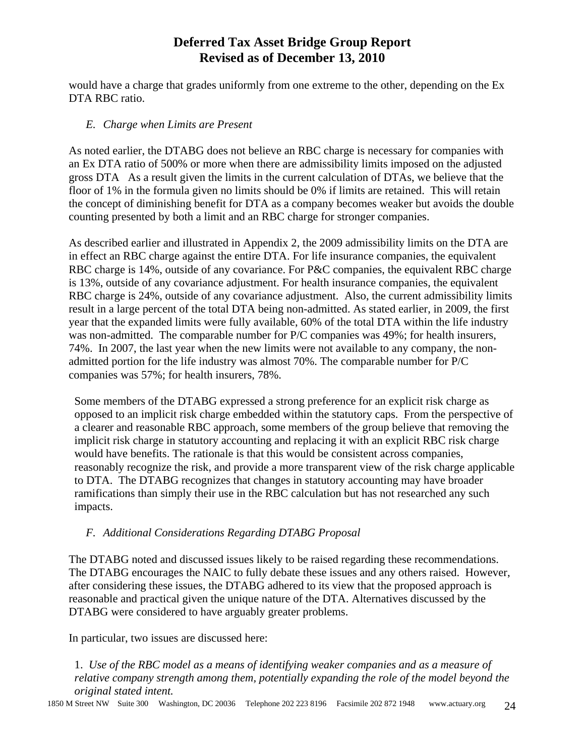would have a charge that grades uniformly from one extreme to the other, depending on the Ex DTA RBC ratio.

#### *E. Charge when Limits are Present*

As noted earlier, the DTABG does not believe an RBC charge is necessary for companies with an Ex DTA ratio of 500% or more when there are admissibility limits imposed on the adjusted gross DTA As a result given the limits in the current calculation of DTAs, we believe that the floor of 1% in the formula given no limits should be 0% if limits are retained. This will retain the concept of diminishing benefit for DTA as a company becomes weaker but avoids the double counting presented by both a limit and an RBC charge for stronger companies.

As described earlier and illustrated in Appendix 2, the 2009 admissibility limits on the DTA are in effect an RBC charge against the entire DTA. For life insurance companies, the equivalent RBC charge is 14%, outside of any covariance. For P&C companies, the equivalent RBC charge is 13%, outside of any covariance adjustment. For health insurance companies, the equivalent RBC charge is 24%, outside of any covariance adjustment. Also, the current admissibility limits result in a large percent of the total DTA being non-admitted. As stated earlier, in 2009, the first year that the expanded limits were fully available, 60% of the total DTA within the life industry was non-admitted. The comparable number for P/C companies was 49%; for health insurers, 74%. In 2007, the last year when the new limits were not available to any company, the nonadmitted portion for the life industry was almost 70%. The comparable number for P/C companies was 57%; for health insurers, 78%.

Some members of the DTABG expressed a strong preference for an explicit risk charge as opposed to an implicit risk charge embedded within the statutory caps. From the perspective of a clearer and reasonable RBC approach, some members of the group believe that removing the implicit risk charge in statutory accounting and replacing it with an explicit RBC risk charge would have benefits. The rationale is that this would be consistent across companies, reasonably recognize the risk, and provide a more transparent view of the risk charge applicable to DTA. The DTABG recognizes that changes in statutory accounting may have broader ramifications than simply their use in the RBC calculation but has not researched any such impacts.

### *F. Additional Considerations Regarding DTABG Proposal*

The DTABG noted and discussed issues likely to be raised regarding these recommendations. The DTABG encourages the NAIC to fully debate these issues and any others raised. However, after considering these issues, the DTABG adhered to its view that the proposed approach is reasonable and practical given the unique nature of the DTA. Alternatives discussed by the DTABG were considered to have arguably greater problems.

In particular, two issues are discussed here:

1. *Use of the RBC model as a means of identifying weaker companies and as a measure of relative company strength among them, potentially expanding the role of the model beyond the original stated intent.*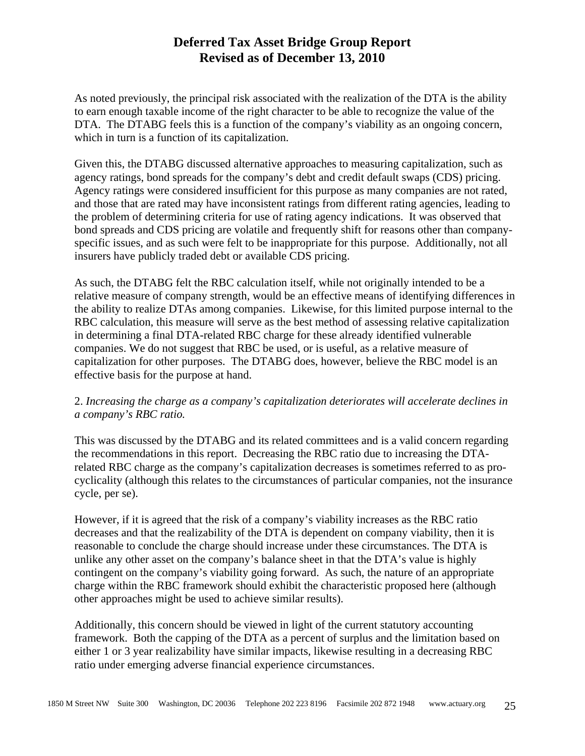As noted previously, the principal risk associated with the realization of the DTA is the ability to earn enough taxable income of the right character to be able to recognize the value of the DTA. The DTABG feels this is a function of the company's viability as an ongoing concern, which in turn is a function of its capitalization.

Given this, the DTABG discussed alternative approaches to measuring capitalization, such as agency ratings, bond spreads for the company's debt and credit default swaps (CDS) pricing. Agency ratings were considered insufficient for this purpose as many companies are not rated, and those that are rated may have inconsistent ratings from different rating agencies, leading to the problem of determining criteria for use of rating agency indications. It was observed that bond spreads and CDS pricing are volatile and frequently shift for reasons other than companyspecific issues, and as such were felt to be inappropriate for this purpose. Additionally, not all insurers have publicly traded debt or available CDS pricing.

As such, the DTABG felt the RBC calculation itself, while not originally intended to be a relative measure of company strength, would be an effective means of identifying differences in the ability to realize DTAs among companies. Likewise, for this limited purpose internal to the RBC calculation, this measure will serve as the best method of assessing relative capitalization in determining a final DTA-related RBC charge for these already identified vulnerable companies. We do not suggest that RBC be used, or is useful, as a relative measure of capitalization for other purposes. The DTABG does, however, believe the RBC model is an effective basis for the purpose at hand.

#### 2. *Increasing the charge as a company's capitalization deteriorates will accelerate declines in a company's RBC ratio.*

This was discussed by the DTABG and its related committees and is a valid concern regarding the recommendations in this report. Decreasing the RBC ratio due to increasing the DTArelated RBC charge as the company's capitalization decreases is sometimes referred to as procyclicality (although this relates to the circumstances of particular companies, not the insurance cycle, per se).

However, if it is agreed that the risk of a company's viability increases as the RBC ratio decreases and that the realizability of the DTA is dependent on company viability, then it is reasonable to conclude the charge should increase under these circumstances. The DTA is unlike any other asset on the company's balance sheet in that the DTA's value is highly contingent on the company's viability going forward. As such, the nature of an appropriate charge within the RBC framework should exhibit the characteristic proposed here (although other approaches might be used to achieve similar results).

Additionally, this concern should be viewed in light of the current statutory accounting framework. Both the capping of the DTA as a percent of surplus and the limitation based on either 1 or 3 year realizability have similar impacts, likewise resulting in a decreasing RBC ratio under emerging adverse financial experience circumstances.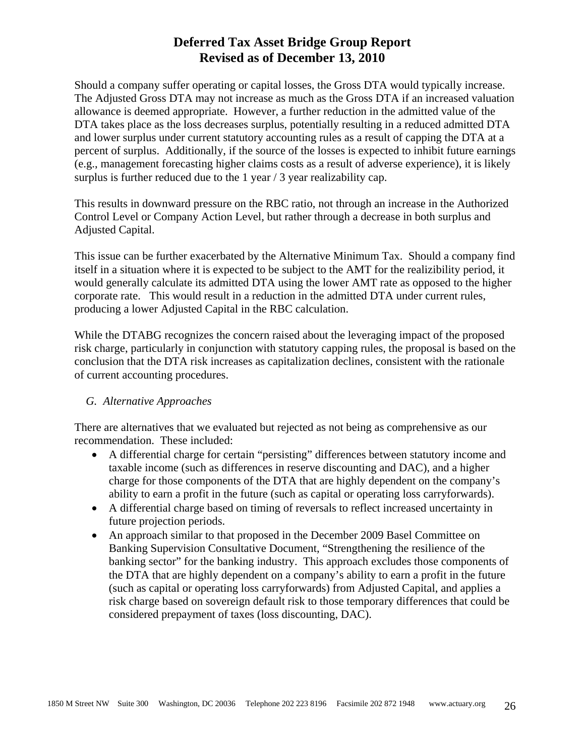Should a company suffer operating or capital losses, the Gross DTA would typically increase. The Adjusted Gross DTA may not increase as much as the Gross DTA if an increased valuation allowance is deemed appropriate. However, a further reduction in the admitted value of the DTA takes place as the loss decreases surplus, potentially resulting in a reduced admitted DTA and lower surplus under current statutory accounting rules as a result of capping the DTA at a percent of surplus. Additionally, if the source of the losses is expected to inhibit future earnings (e.g., management forecasting higher claims costs as a result of adverse experience), it is likely surplus is further reduced due to the 1 year / 3 year realizability cap.

This results in downward pressure on the RBC ratio, not through an increase in the Authorized Control Level or Company Action Level, but rather through a decrease in both surplus and Adjusted Capital.

This issue can be further exacerbated by the Alternative Minimum Tax. Should a company find itself in a situation where it is expected to be subject to the AMT for the realizibility period, it would generally calculate its admitted DTA using the lower AMT rate as opposed to the higher corporate rate. This would result in a reduction in the admitted DTA under current rules, producing a lower Adjusted Capital in the RBC calculation.

While the DTABG recognizes the concern raised about the leveraging impact of the proposed risk charge, particularly in conjunction with statutory capping rules, the proposal is based on the conclusion that the DTA risk increases as capitalization declines, consistent with the rationale of current accounting procedures.

#### *G. Alternative Approaches*

There are alternatives that we evaluated but rejected as not being as comprehensive as our recommendation. These included:

- A differential charge for certain "persisting" differences between statutory income and taxable income (such as differences in reserve discounting and DAC), and a higher charge for those components of the DTA that are highly dependent on the company's ability to earn a profit in the future (such as capital or operating loss carryforwards).
- A differential charge based on timing of reversals to reflect increased uncertainty in future projection periods.
- An approach similar to that proposed in the December 2009 Basel Committee on Banking Supervision Consultative Document, "Strengthening the resilience of the banking sector" for the banking industry. This approach excludes those components of the DTA that are highly dependent on a company's ability to earn a profit in the future (such as capital or operating loss carryforwards) from Adjusted Capital, and applies a risk charge based on sovereign default risk to those temporary differences that could be considered prepayment of taxes (loss discounting, DAC).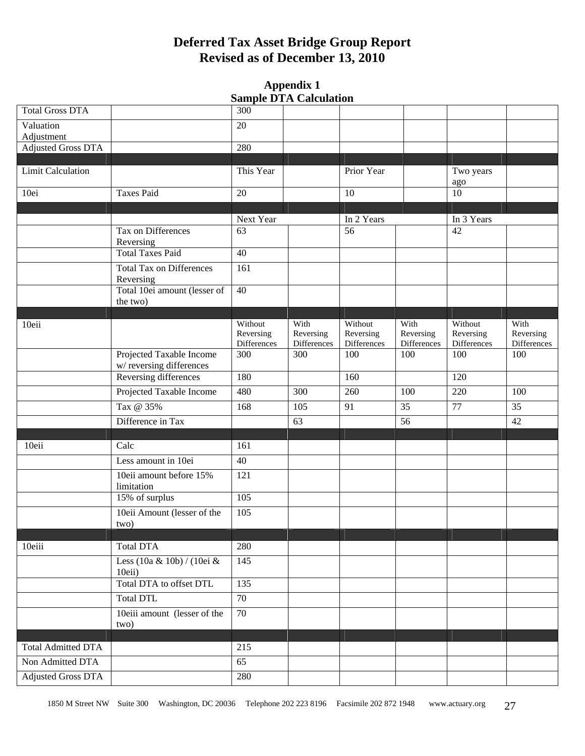#### **Appendix 1 Sample DTA Calculation**

|                           |                                      |                      | $\alpha$ ampic $\boldsymbol{\nu}$ 171 Cancanation |             |             |             |             |
|---------------------------|--------------------------------------|----------------------|---------------------------------------------------|-------------|-------------|-------------|-------------|
| <b>Total Gross DTA</b>    |                                      | 300                  |                                                   |             |             |             |             |
| Valuation                 |                                      | 20                   |                                                   |             |             |             |             |
| Adjustment                |                                      |                      |                                                   |             |             |             |             |
| <b>Adjusted Gross DTA</b> |                                      | 280                  |                                                   |             |             |             |             |
|                           |                                      |                      |                                                   |             |             |             |             |
| <b>Limit Calculation</b>  |                                      | This Year            |                                                   | Prior Year  |             | Two years   |             |
| 10ei                      | <b>Taxes Paid</b>                    | 20                   |                                                   | 10          |             | ago<br>10   |             |
|                           |                                      |                      |                                                   |             |             |             |             |
|                           |                                      | Next Year            |                                                   | In 2 Years  |             | In 3 Years  |             |
|                           | Tax on Differences                   | 63                   |                                                   | 56          |             | 42          |             |
|                           | Reversing                            |                      |                                                   |             |             |             |             |
|                           | <b>Total Taxes Paid</b>              | $\overline{40}$      |                                                   |             |             |             |             |
|                           | <b>Total Tax on Differences</b>      | 161                  |                                                   |             |             |             |             |
|                           | Reversing                            |                      |                                                   |             |             |             |             |
|                           | Total 10ei amount (lesser of         | 40                   |                                                   |             |             |             |             |
|                           | the two)                             |                      |                                                   |             |             |             |             |
|                           |                                      |                      | With                                              | Without     | With        | Without     | With        |
| 10eii                     |                                      | Without<br>Reversing | Reversing                                         | Reversing   | Reversing   | Reversing   | Reversing   |
|                           |                                      | Differences          | Differences                                       | Differences | Differences | Differences | Differences |
|                           | Projected Taxable Income             | 300                  | 300                                               | 100         | 100         | 100         | 100         |
|                           | w/reversing differences              |                      |                                                   |             |             |             |             |
|                           | Reversing differences                | 180                  |                                                   | 160         |             | 120         |             |
|                           | Projected Taxable Income             | 480                  | 300                                               | 260         | 100         | 220         | 100         |
|                           | Tax @ 35%                            | 168                  | 105                                               | 91          | 35          | 77          | 35          |
|                           | Difference in Tax                    |                      | 63                                                |             | 56          |             | 42          |
|                           |                                      |                      |                                                   |             |             |             |             |
| 10eii                     | Calc                                 | 161                  |                                                   |             |             |             |             |
|                           | Less amount in 10ei                  | 40                   |                                                   |             |             |             |             |
|                           | 10eii amount before 15%              | 121                  |                                                   |             |             |             |             |
|                           | limitation                           |                      |                                                   |             |             |             |             |
|                           | 15% of surplus                       | 105                  |                                                   |             |             |             |             |
|                           | 10eii Amount (lesser of the          | 105                  |                                                   |             |             |             |             |
|                           | two)                                 |                      |                                                   |             |             |             |             |
| 10eiii                    | Total DTA                            | 280                  |                                                   |             |             |             |             |
|                           |                                      |                      |                                                   |             |             |             |             |
|                           | Less (10a & 10b) / (10ei &<br>10eii) | 145                  |                                                   |             |             |             |             |
|                           | Total DTA to offset DTL              | 135                  |                                                   |             |             |             |             |
|                           | <b>Total DTL</b>                     | 70                   |                                                   |             |             |             |             |
|                           | 10eiii amount (lesser of the         | 70                   |                                                   |             |             |             |             |
|                           | two)                                 |                      |                                                   |             |             |             |             |
|                           |                                      |                      |                                                   |             |             |             |             |
| <b>Total Admitted DTA</b> |                                      | 215                  |                                                   |             |             |             |             |
| Non Admitted DTA          |                                      | 65                   |                                                   |             |             |             |             |
| <b>Adjusted Gross DTA</b> |                                      | 280                  |                                                   |             |             |             |             |
|                           |                                      |                      |                                                   |             |             |             |             |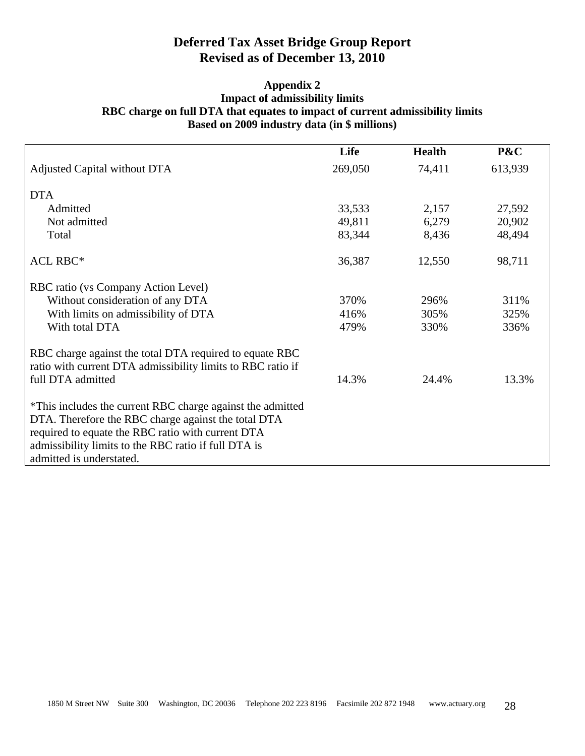#### **Appendix 2 Impact of admissibility limits RBC charge on full DTA that equates to impact of current admissibility limits Based on 2009 industry data (in \$ millions)**

|                                                                                                                                                                                                                                                            | Life    | <b>Health</b> | P&C     |
|------------------------------------------------------------------------------------------------------------------------------------------------------------------------------------------------------------------------------------------------------------|---------|---------------|---------|
| Adjusted Capital without DTA                                                                                                                                                                                                                               | 269,050 | 74,411        | 613,939 |
| <b>DTA</b>                                                                                                                                                                                                                                                 |         |               |         |
| Admitted                                                                                                                                                                                                                                                   | 33,533  | 2,157         | 27,592  |
| Not admitted                                                                                                                                                                                                                                               | 49,811  | 6,279         | 20,902  |
| Total                                                                                                                                                                                                                                                      | 83,344  | 8,436         | 48,494  |
| <b>ACL RBC*</b>                                                                                                                                                                                                                                            | 36,387  | 12,550        | 98,711  |
| RBC ratio (vs Company Action Level)                                                                                                                                                                                                                        |         |               |         |
| Without consideration of any DTA                                                                                                                                                                                                                           | 370%    | 296%          | 311%    |
| With limits on admissibility of DTA                                                                                                                                                                                                                        | 416%    | 305%          | 325%    |
| With total DTA                                                                                                                                                                                                                                             | 479%    | 330%          | 336%    |
| RBC charge against the total DTA required to equate RBC<br>ratio with current DTA admissibility limits to RBC ratio if<br>full DTA admitted                                                                                                                | 14.3%   | 24.4%         | 13.3%   |
| *This includes the current RBC charge against the admitted<br>DTA. Therefore the RBC charge against the total DTA<br>required to equate the RBC ratio with current DTA<br>admissibility limits to the RBC ratio if full DTA is<br>admitted is understated. |         |               |         |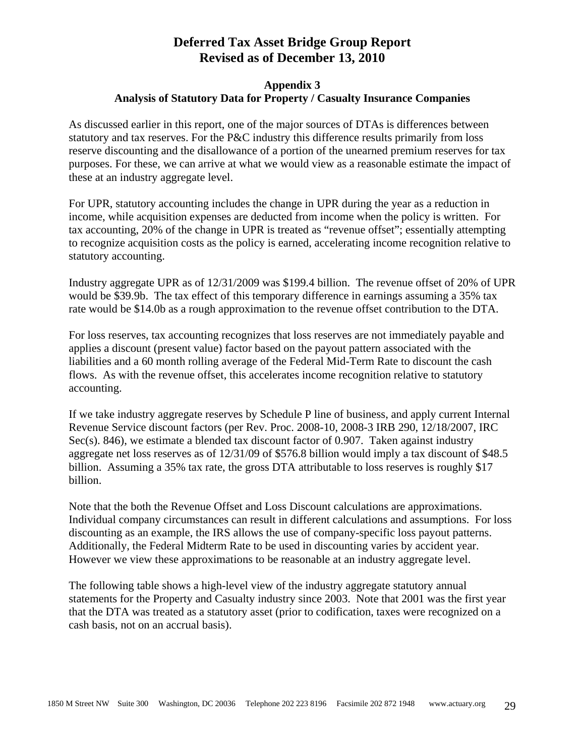#### **Appendix 3 Analysis of Statutory Data for Property / Casualty Insurance Companies**

As discussed earlier in this report, one of the major sources of DTAs is differences between statutory and tax reserves. For the P&C industry this difference results primarily from loss reserve discounting and the disallowance of a portion of the unearned premium reserves for tax purposes. For these, we can arrive at what we would view as a reasonable estimate the impact of these at an industry aggregate level.

For UPR, statutory accounting includes the change in UPR during the year as a reduction in income, while acquisition expenses are deducted from income when the policy is written. For tax accounting, 20% of the change in UPR is treated as "revenue offset"; essentially attempting to recognize acquisition costs as the policy is earned, accelerating income recognition relative to statutory accounting.

Industry aggregate UPR as of 12/31/2009 was \$199.4 billion. The revenue offset of 20% of UPR would be \$39.9b. The tax effect of this temporary difference in earnings assuming a 35% tax rate would be \$14.0b as a rough approximation to the revenue offset contribution to the DTA.

For loss reserves, tax accounting recognizes that loss reserves are not immediately payable and applies a discount (present value) factor based on the payout pattern associated with the liabilities and a 60 month rolling average of the Federal Mid-Term Rate to discount the cash flows. As with the revenue offset, this accelerates income recognition relative to statutory accounting.

If we take industry aggregate reserves by Schedule P line of business, and apply current Internal Revenue Service discount factors (per Rev. Proc. 2008-10, 2008-3 IRB 290, 12/18/2007, IRC Sec(s). 846), we estimate a blended tax discount factor of 0.907. Taken against industry aggregate net loss reserves as of 12/31/09 of \$576.8 billion would imply a tax discount of \$48.5 billion. Assuming a 35% tax rate, the gross DTA attributable to loss reserves is roughly \$17 billion.

Note that the both the Revenue Offset and Loss Discount calculations are approximations. Individual company circumstances can result in different calculations and assumptions. For loss discounting as an example, the IRS allows the use of company-specific loss payout patterns. Additionally, the Federal Midterm Rate to be used in discounting varies by accident year. However we view these approximations to be reasonable at an industry aggregate level.

The following table shows a high-level view of the industry aggregate statutory annual statements for the Property and Casualty industry since 2003. Note that 2001 was the first year that the DTA was treated as a statutory asset (prior to codification, taxes were recognized on a cash basis, not on an accrual basis).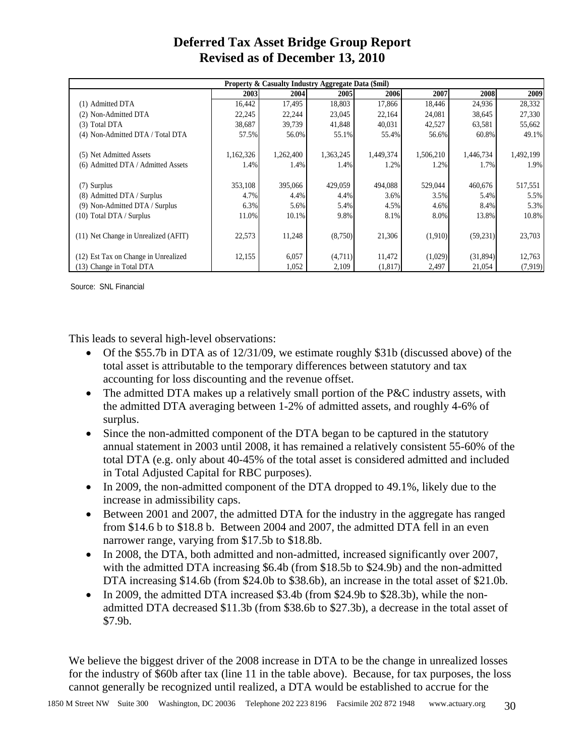| Property & Casualty Industry Aggregate Data (\$mil) |           |           |           |           |           |             |           |  |  |
|-----------------------------------------------------|-----------|-----------|-----------|-----------|-----------|-------------|-----------|--|--|
|                                                     | 2003      | 2004      | 2005I     | 2006      | 2007      | <b>2008</b> | 2009      |  |  |
| (1) Admitted DTA                                    | 16,442    | 17,495    | 18,803    | 17,866    | 18,446    | 24,936      | 28,332    |  |  |
| (2) Non-Admitted DTA                                | 22,245    | 22,244    | 23,045    | 22,164    | 24,081    | 38,645      | 27,330    |  |  |
| (3) Total DTA                                       | 38,687    | 39,739    | 41,848    | 40,031    | 42,527    | 63,581      | 55,662    |  |  |
| (4) Non-Admitted DTA / Total DTA                    | 57.5%     | 56.0%     | 55.1%     | 55.4%     | 56.6%     | 60.8%       | 49.1%     |  |  |
| (5) Net Admitted Assets                             | 1,162,326 | 1,262,400 | 1,363,245 | 1,449,374 | 1,506,210 | 1,446,734   | 1,492,199 |  |  |
| (6) Admitted DTA / Admitted Assets                  | 1.4%      | 1.4%      | 1.4%      | 1.2%      | 1.2%      | 1.7%        | 1.9%      |  |  |
| (7) Surplus                                         | 353,108   | 395,066   | 429,059   | 494,088   | 529,044   | 460,676     | 517,551   |  |  |
| (8) Admitted DTA / Surplus                          | 4.7%      | 4.4%      | 4.4%      | $3.6\%$   | 3.5%      | 5.4%        | 5.5%      |  |  |
| (9) Non-Admitted DTA / Surplus                      | 6.3%      | 5.6%      | 5.4%      | 4.5%      | 4.6%      | 8.4%        | 5.3%      |  |  |
| (10) Total DTA / Surplus                            | 11.0%     | 10.1%     | 9.8%      | 8.1%      | 8.0%      | 13.8%       | 10.8%     |  |  |
| (11) Net Change in Unrealized (AFIT)                | 22,573    | 11,248    | (8,750)   | 21,306    | (1,910)   | (59,231)    | 23,703    |  |  |
| (12) Est Tax on Change in Unrealized                | 12,155    | 6,057     | (4,711)   | 11,472    | (1,029)   | (31,894)    | 12,763    |  |  |
| (13) Change in Total DTA                            |           | 1.052     | 2,109     | (1,817)   | 2,497     | 21,054      | (7,919)   |  |  |

Source: SNL Financial

This leads to several high-level observations:

- Of the \$55.7b in DTA as of 12/31/09, we estimate roughly \$31b (discussed above) of the total asset is attributable to the temporary differences between statutory and tax accounting for loss discounting and the revenue offset.
- The admitted DTA makes up a relatively small portion of the P&C industry assets, with the admitted DTA averaging between 1-2% of admitted assets, and roughly 4-6% of surplus.
- Since the non-admitted component of the DTA began to be captured in the statutory annual statement in 2003 until 2008, it has remained a relatively consistent 55-60% of the total DTA (e.g. only about 40-45% of the total asset is considered admitted and included in Total Adjusted Capital for RBC purposes).
- In 2009, the non-admitted component of the DTA dropped to 49.1%, likely due to the increase in admissibility caps.
- Between 2001 and 2007, the admitted DTA for the industry in the aggregate has ranged from \$14.6 b to \$18.8 b. Between 2004 and 2007, the admitted DTA fell in an even narrower range, varying from \$17.5b to \$18.8b.
- In 2008, the DTA, both admitted and non-admitted, increased significantly over 2007, with the admitted DTA increasing \$6.4b (from \$18.5b to \$24.9b) and the non-admitted DTA increasing \$14.6b (from \$24.0b to \$38.6b), an increase in the total asset of \$21.0b.
- In 2009, the admitted DTA increased \$3.4b (from \$24.9b to \$28.3b), while the nonadmitted DTA decreased \$11.3b (from \$38.6b to \$27.3b), a decrease in the total asset of \$7.9b.

We believe the biggest driver of the 2008 increase in DTA to be the change in unrealized losses for the industry of \$60b after tax (line 11 in the table above). Because, for tax purposes, the loss cannot generally be recognized until realized, a DTA would be established to accrue for the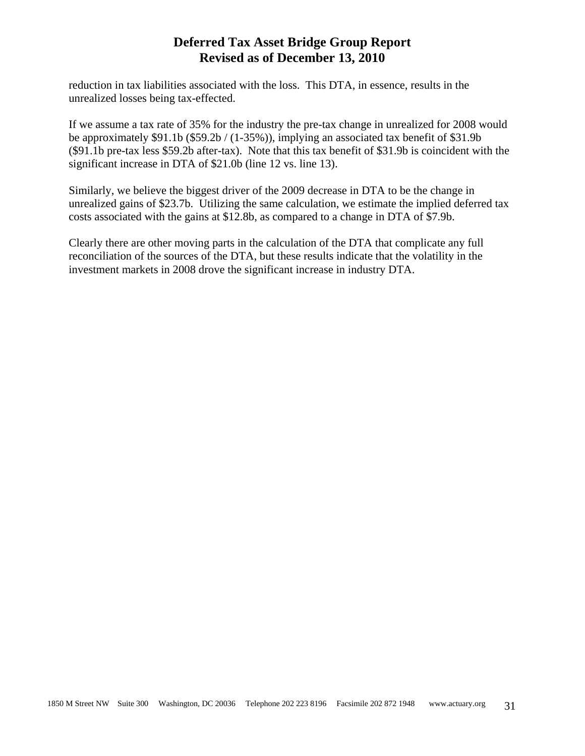reduction in tax liabilities associated with the loss. This DTA, in essence, results in the unrealized losses being tax-effected.

If we assume a tax rate of 35% for the industry the pre-tax change in unrealized for 2008 would be approximately \$91.1b (\$59.2b / (1-35%)), implying an associated tax benefit of \$31.9b (\$91.1b pre-tax less \$59.2b after-tax). Note that this tax benefit of \$31.9b is coincident with the significant increase in DTA of \$21.0b (line 12 vs. line 13).

Similarly, we believe the biggest driver of the 2009 decrease in DTA to be the change in unrealized gains of \$23.7b. Utilizing the same calculation, we estimate the implied deferred tax costs associated with the gains at \$12.8b, as compared to a change in DTA of \$7.9b.

Clearly there are other moving parts in the calculation of the DTA that complicate any full reconciliation of the sources of the DTA, but these results indicate that the volatility in the investment markets in 2008 drove the significant increase in industry DTA.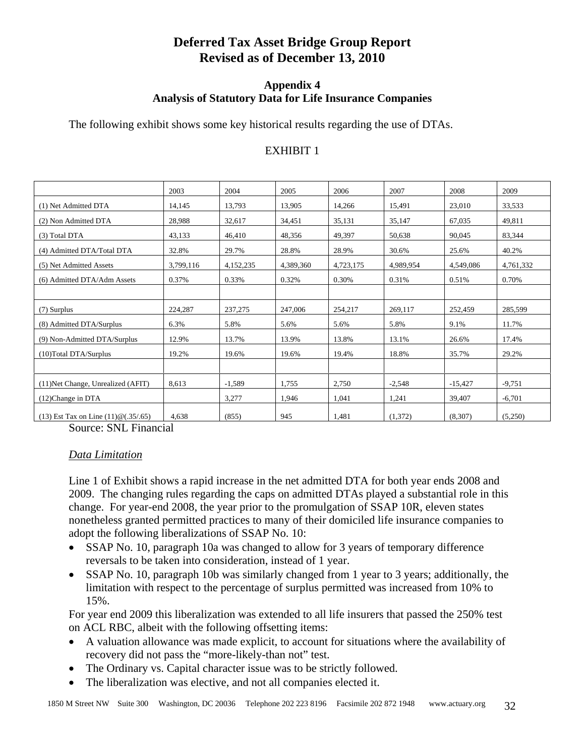#### **Appendix 4 Analysis of Statutory Data for Life Insurance Companies**

The following exhibit shows some key historical results regarding the use of DTAs.

#### EXHIBIT 1

|                                             | 2003      | 2004      | 2005      | 2006      | 2007      | 2008      | 2009      |
|---------------------------------------------|-----------|-----------|-----------|-----------|-----------|-----------|-----------|
| (1) Net Admitted DTA                        | 14,145    | 13,793    | 13,905    | 14,266    | 15,491    | 23,010    | 33,533    |
| (2) Non Admitted DTA                        | 28,988    | 32,617    | 34,451    | 35,131    | 35,147    | 67,035    | 49,811    |
| (3) Total DTA                               | 43,133    | 46,410    | 48,356    | 49,397    | 50,638    | 90,045    | 83,344    |
| (4) Admitted DTA/Total DTA                  | 32.8%     | 29.7%     | 28.8%     | 28.9%     | 30.6%     | 25.6%     | 40.2%     |
| (5) Net Admitted Assets                     | 3,799,116 | 4,152,235 | 4,389,360 | 4,723,175 | 4,989,954 | 4,549,086 | 4,761,332 |
| (6) Admitted DTA/Adm Assets                 | 0.37%     | 0.33%     | 0.32%     | 0.30%     | 0.31%     | 0.51%     | 0.70%     |
|                                             |           |           |           |           |           |           |           |
| (7) Surplus                                 | 224,287   | 237,275   | 247,006   | 254,217   | 269,117   | 252,459   | 285,599   |
| (8) Admitted DTA/Surplus                    | 6.3%      | 5.8%      | 5.6%      | 5.6%      | 5.8%      | 9.1%      | 11.7%     |
| (9) Non-Admitted DTA/Surplus                | 12.9%     | 13.7%     | 13.9%     | 13.8%     | 13.1%     | 26.6%     | 17.4%     |
| (10) Total DTA/Surplus                      | 19.2%     | 19.6%     | 19.6%     | 19.4%     | 18.8%     | 35.7%     | 29.2%     |
|                                             |           |           |           |           |           |           |           |
| (11) Net Change, Unrealized (AFIT)          | 8,613     | $-1,589$  | 1,755     | 2,750     | $-2,548$  | $-15,427$ | $-9,751$  |
| (12)Change in DTA                           |           | 3,277     | 1,946     | 1,041     | 1,241     | 39,407    | $-6,701$  |
| $(13)$ Est Tax on Line $(11)$ @ $(.35/.65)$ | 4,638     | (855)     | 945       | 1,481     | (1,372)   | (8,307)   | (5,250)   |

Source: SNL Financial

### *Data Limitation*

Line 1 of Exhibit shows a rapid increase in the net admitted DTA for both year ends 2008 and 2009. The changing rules regarding the caps on admitted DTAs played a substantial role in this change. For year-end 2008, the year prior to the promulgation of SSAP 10R, eleven states nonetheless granted permitted practices to many of their domiciled life insurance companies to adopt the following liberalizations of SSAP No. 10:

- SSAP No. 10, paragraph 10a was changed to allow for 3 years of temporary difference reversals to be taken into consideration, instead of 1 year.
- SSAP No. 10, paragraph 10b was similarly changed from 1 year to 3 years; additionally, the limitation with respect to the percentage of surplus permitted was increased from 10% to 15%.

For year end 2009 this liberalization was extended to all life insurers that passed the 250% test on ACL RBC, albeit with the following offsetting items:

- A valuation allowance was made explicit, to account for situations where the availability of recovery did not pass the "more-likely-than not" test.
- The Ordinary vs. Capital character issue was to be strictly followed.
- The liberalization was elective, and not all companies elected it.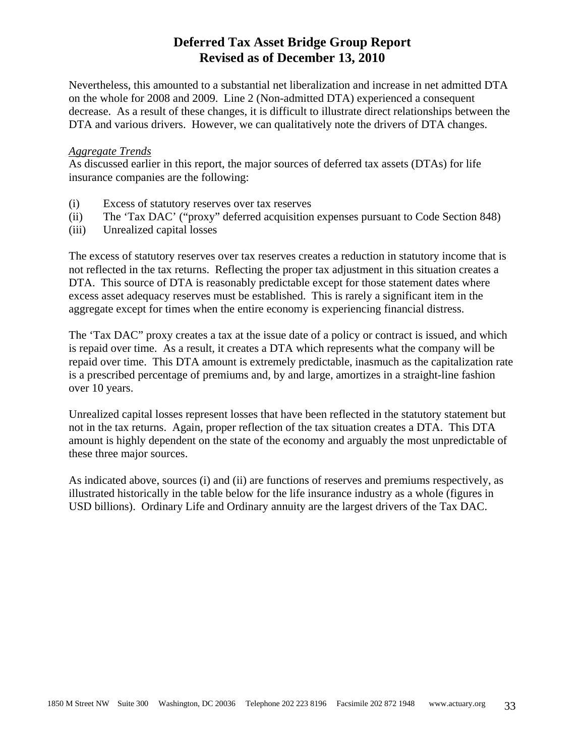Nevertheless, this amounted to a substantial net liberalization and increase in net admitted DTA on the whole for 2008 and 2009. Line 2 (Non-admitted DTA) experienced a consequent decrease. As a result of these changes, it is difficult to illustrate direct relationships between the DTA and various drivers. However, we can qualitatively note the drivers of DTA changes.

#### *Aggregate Trends*

As discussed earlier in this report, the major sources of deferred tax assets (DTAs) for life insurance companies are the following:

- (i) Excess of statutory reserves over tax reserves
- (ii) The 'Tax DAC' ("proxy" deferred acquisition expenses pursuant to Code Section 848)
- (iii) Unrealized capital losses

The excess of statutory reserves over tax reserves creates a reduction in statutory income that is not reflected in the tax returns. Reflecting the proper tax adjustment in this situation creates a DTA. This source of DTA is reasonably predictable except for those statement dates where excess asset adequacy reserves must be established. This is rarely a significant item in the aggregate except for times when the entire economy is experiencing financial distress.

The 'Tax DAC" proxy creates a tax at the issue date of a policy or contract is issued, and which is repaid over time. As a result, it creates a DTA which represents what the company will be repaid over time. This DTA amount is extremely predictable, inasmuch as the capitalization rate is a prescribed percentage of premiums and, by and large, amortizes in a straight-line fashion over 10 years.

Unrealized capital losses represent losses that have been reflected in the statutory statement but not in the tax returns. Again, proper reflection of the tax situation creates a DTA. This DTA amount is highly dependent on the state of the economy and arguably the most unpredictable of these three major sources.

As indicated above, sources (i) and (ii) are functions of reserves and premiums respectively, as illustrated historically in the table below for the life insurance industry as a whole (figures in USD billions). Ordinary Life and Ordinary annuity are the largest drivers of the Tax DAC.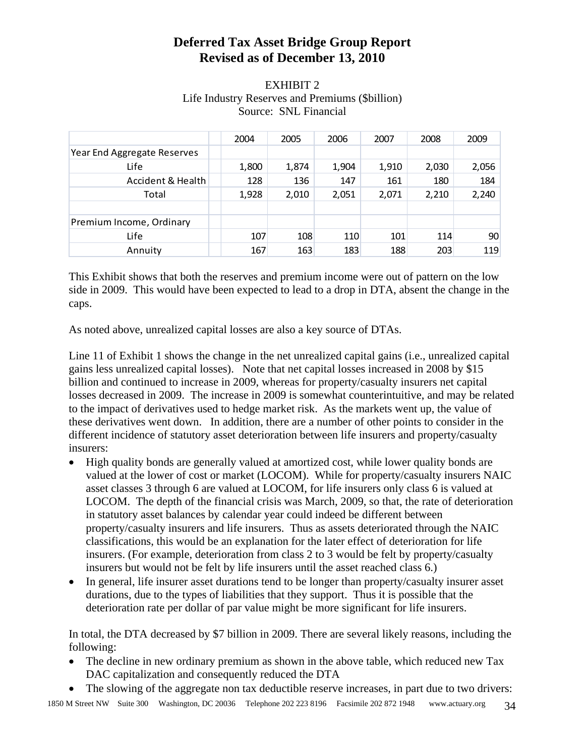### EXHIBIT 2 Life Industry Reserves and Premiums (\$billion) Source: SNL Financial

|                             | 2004  | 2005  | 2006  | 2007  | 2008  | 2009  |
|-----------------------------|-------|-------|-------|-------|-------|-------|
| Year End Aggregate Reserves |       |       |       |       |       |       |
| Life                        | 1,800 | 1,874 | 1,904 | 1,910 | 2,030 | 2,056 |
| Accident & Health           | 128   | 136   | 147   | 161   | 180   | 184   |
| Total                       | 1,928 | 2,010 | 2,051 | 2,071 | 2,210 | 2,240 |
|                             |       |       |       |       |       |       |
| Premium Income, Ordinary    |       |       |       |       |       |       |
| Life                        | 107   | 108   | 110   | 101   | 114   | 90    |
| Annuity                     | 167   | 163   | 183   | 188   | 203   | 119   |

This Exhibit shows that both the reserves and premium income were out of pattern on the low side in 2009. This would have been expected to lead to a drop in DTA, absent the change in the caps.

As noted above, unrealized capital losses are also a key source of DTAs.

Line 11 of Exhibit 1 shows the change in the net unrealized capital gains (i.e., unrealized capital gains less unrealized capital losses). Note that net capital losses increased in 2008 by \$15 billion and continued to increase in 2009, whereas for property/casualty insurers net capital losses decreased in 2009. The increase in 2009 is somewhat counterintuitive, and may be related to the impact of derivatives used to hedge market risk. As the markets went up, the value of these derivatives went down. In addition, there are a number of other points to consider in the different incidence of statutory asset deterioration between life insurers and property/casualty insurers:

- High quality bonds are generally valued at amortized cost, while lower quality bonds are valued at the lower of cost or market (LOCOM). While for property/casualty insurers NAIC asset classes 3 through 6 are valued at LOCOM, for life insurers only class 6 is valued at LOCOM. The depth of the financial crisis was March, 2009, so that, the rate of deterioration in statutory asset balances by calendar year could indeed be different between property/casualty insurers and life insurers. Thus as assets deteriorated through the NAIC classifications, this would be an explanation for the later effect of deterioration for life insurers. (For example, deterioration from class 2 to 3 would be felt by property/casualty insurers but would not be felt by life insurers until the asset reached class 6.)
- In general, life insurer asset durations tend to be longer than property/casualty insurer asset durations, due to the types of liabilities that they support. Thus it is possible that the deterioration rate per dollar of par value might be more significant for life insurers.

In total, the DTA decreased by \$7 billion in 2009. There are several likely reasons, including the following:

- The decline in new ordinary premium as shown in the above table, which reduced new Tax DAC capitalization and consequently reduced the DTA
- The slowing of the aggregate non tax deductible reserve increases, in part due to two drivers: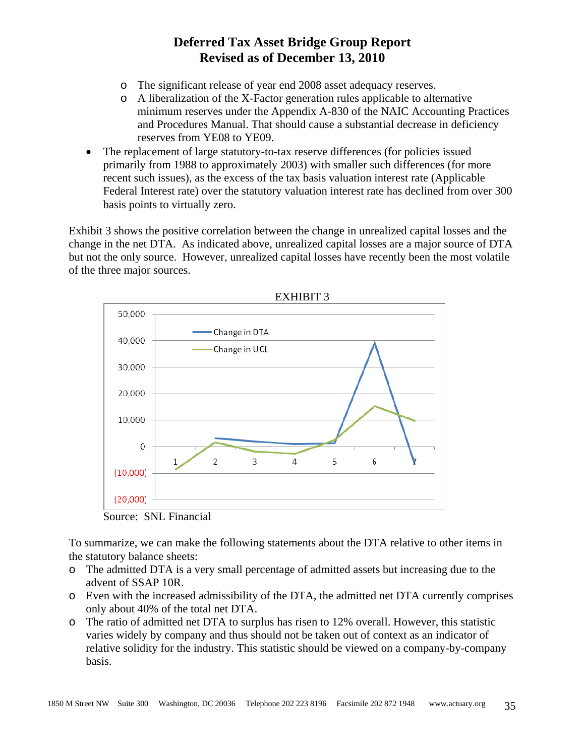- o The significant release of year end 2008 asset adequacy reserves.
- o A liberalization of the X-Factor generation rules applicable to alternative minimum reserves under the Appendix A-830 of the NAIC Accounting Practices and Procedures Manual. That should cause a substantial decrease in deficiency reserves from YE08 to YE09.
- The replacement of large statutory-to-tax reserve differences (for policies issued primarily from 1988 to approximately 2003) with smaller such differences (for more recent such issues), as the excess of the tax basis valuation interest rate (Applicable Federal Interest rate) over the statutory valuation interest rate has declined from over 300 basis points to virtually zero.

Exhibit 3 shows the positive correlation between the change in unrealized capital losses and the change in the net DTA. As indicated above, unrealized capital losses are a major source of DTA but not the only source. However, unrealized capital losses have recently been the most volatile of the three major sources.





To summarize, we can make the following statements about the DTA relative to other items in the statutory balance sheets:

- o The admitted DTA is a very small percentage of admitted assets but increasing due to the advent of SSAP 10R.
- o Even with the increased admissibility of the DTA, the admitted net DTA currently comprises only about 40% of the total net DTA.
- o The ratio of admitted net DTA to surplus has risen to 12% overall. However, this statistic varies widely by company and thus should not be taken out of context as an indicator of relative solidity for the industry. This statistic should be viewed on a company-by-company basis.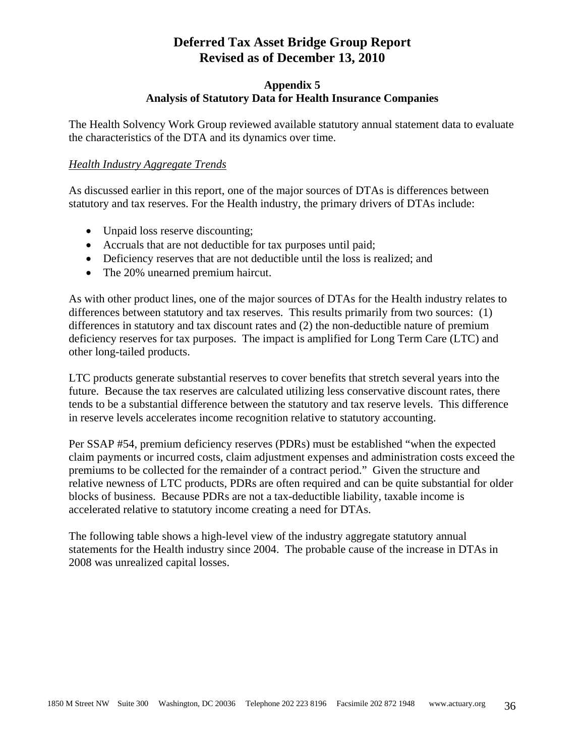#### **Appendix 5 Analysis of Statutory Data for Health Insurance Companies**

The Health Solvency Work Group reviewed available statutory annual statement data to evaluate the characteristics of the DTA and its dynamics over time.

#### *Health Industry Aggregate Trends*

As discussed earlier in this report, one of the major sources of DTAs is differences between statutory and tax reserves. For the Health industry, the primary drivers of DTAs include:

- Unpaid loss reserve discounting;
- Accruals that are not deductible for tax purposes until paid;
- Deficiency reserves that are not deductible until the loss is realized; and
- The 20% unearned premium haircut.

As with other product lines, one of the major sources of DTAs for the Health industry relates to differences between statutory and tax reserves. This results primarily from two sources: (1) differences in statutory and tax discount rates and (2) the non-deductible nature of premium deficiency reserves for tax purposes. The impact is amplified for Long Term Care (LTC) and other long-tailed products.

LTC products generate substantial reserves to cover benefits that stretch several years into the future. Because the tax reserves are calculated utilizing less conservative discount rates, there tends to be a substantial difference between the statutory and tax reserve levels. This difference in reserve levels accelerates income recognition relative to statutory accounting.

Per SSAP #54, premium deficiency reserves (PDRs) must be established "when the expected claim payments or incurred costs, claim adjustment expenses and administration costs exceed the premiums to be collected for the remainder of a contract period." Given the structure and relative newness of LTC products, PDRs are often required and can be quite substantial for older blocks of business. Because PDRs are not a tax-deductible liability, taxable income is accelerated relative to statutory income creating a need for DTAs.

The following table shows a high-level view of the industry aggregate statutory annual statements for the Health industry since 2004. The probable cause of the increase in DTAs in 2008 was unrealized capital losses.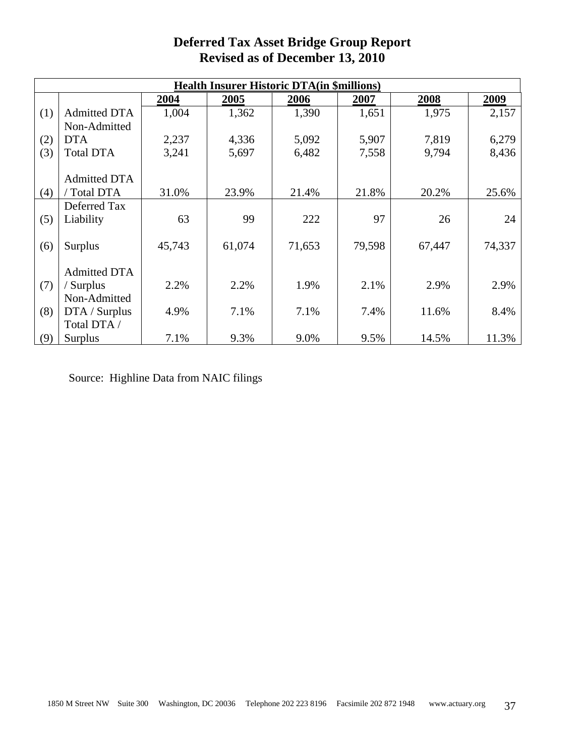| <b>Health Insurer Historic DTA(in \$millions)</b> |                     |        |        |        |        |        |        |  |  |  |  |
|---------------------------------------------------|---------------------|--------|--------|--------|--------|--------|--------|--|--|--|--|
|                                                   |                     | 2004   | 2005   | 2006   | 2007   | 2008   | 2009   |  |  |  |  |
| (1)                                               | <b>Admitted DTA</b> | 1,004  | 1,362  | 1,390  | 1,651  | 1,975  | 2,157  |  |  |  |  |
|                                                   | Non-Admitted        |        |        |        |        |        |        |  |  |  |  |
| (2)                                               | <b>DTA</b>          | 2,237  | 4,336  | 5,092  | 5,907  | 7,819  | 6,279  |  |  |  |  |
| (3)                                               | <b>Total DTA</b>    | 3,241  | 5,697  | 6,482  | 7,558  | 9,794  | 8,436  |  |  |  |  |
|                                                   |                     |        |        |        |        |        |        |  |  |  |  |
|                                                   | <b>Admitted DTA</b> |        |        |        |        |        |        |  |  |  |  |
| (4)                                               | / Total DTA         | 31.0%  | 23.9%  | 21.4%  | 21.8%  | 20.2%  | 25.6%  |  |  |  |  |
|                                                   | Deferred Tax        |        |        |        |        |        |        |  |  |  |  |
| (5)                                               | Liability           | 63     | 99     | 222    | 97     | 26     | 24     |  |  |  |  |
|                                                   |                     |        |        |        |        |        |        |  |  |  |  |
| (6)                                               | Surplus             | 45,743 | 61,074 | 71,653 | 79,598 | 67,447 | 74,337 |  |  |  |  |
|                                                   |                     |        |        |        |        |        |        |  |  |  |  |
|                                                   | <b>Admitted DTA</b> |        |        |        |        |        |        |  |  |  |  |
| (7)                                               | / Surplus           | 2.2%   | 2.2%   | 1.9%   | 2.1%   | 2.9%   | 2.9%   |  |  |  |  |
|                                                   | Non-Admitted        |        |        |        |        |        |        |  |  |  |  |
| (8)                                               | DTA / Surplus       | 4.9%   | 7.1%   | 7.1%   | 7.4%   | 11.6%  | 8.4%   |  |  |  |  |
|                                                   | Total DTA /         |        |        |        |        |        |        |  |  |  |  |
| (9)                                               | <b>Surplus</b>      | 7.1%   | 9.3%   | 9.0%   | 9.5%   | 14.5%  | 11.3%  |  |  |  |  |

Source: Highline Data from NAIC filings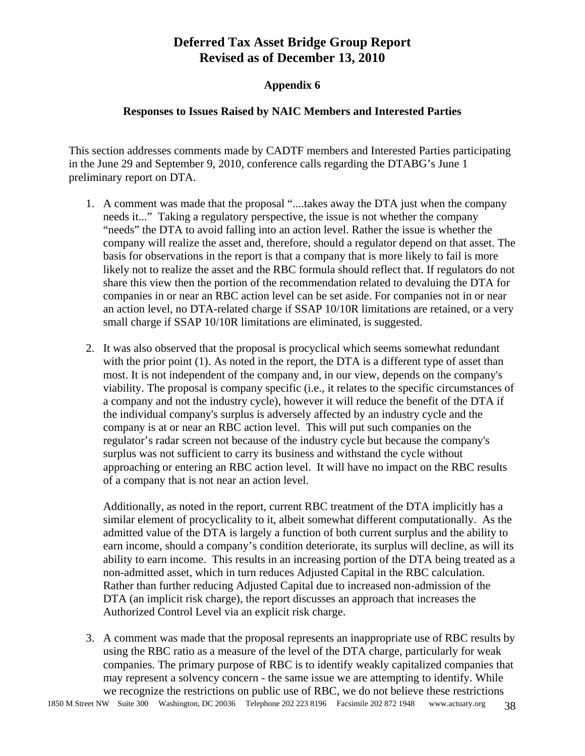#### **Appendix 6**

#### **Responses to Issues Raised by NAIC Members and Interested Parties**

This section addresses comments made by CADTF members and Interested Parties participating in the June 29 and September 9, 2010, conference calls regarding the DTABG's June 1 preliminary report on DTA.

- 1. A comment was made that the proposal "....takes away the DTA just when the company needs it..." Taking a regulatory perspective, the issue is not whether the company "needs" the DTA to avoid falling into an action level. Rather the issue is whether the company will realize the asset and, therefore, should a regulator depend on that asset. The basis for observations in the report is that a company that is more likely to fail is more likely not to realize the asset and the RBC formula should reflect that. If regulators do not share this view then the portion of the recommendation related to devaluing the DTA for companies in or near an RBC action level can be set aside. For companies not in or near an action level, no DTA-related charge if SSAP 10/10R limitations are retained, or a very small charge if SSAP 10/10R limitations are eliminated, is suggested.
- 2. It was also observed that the proposal is procyclical which seems somewhat redundant with the prior point (1). As noted in the report, the DTA is a different type of asset than most. It is not independent of the company and, in our view, depends on the company's viability. The proposal is company specific (i.e., it relates to the specific circumstances of a company and not the industry cycle), however it will reduce the benefit of the DTA if the individual company's surplus is adversely affected by an industry cycle and the company is at or near an RBC action level. This will put such companies on the regulator's radar screen not because of the industry cycle but because the company's surplus was not sufficient to carry its business and withstand the cycle without approaching or entering an RBC action level. It will have no impact on the RBC results of a company that is not near an action level.

Additionally, as noted in the report, current RBC treatment of the DTA implicitly has a similar element of procyclicality to it, albeit somewhat different computationally. As the admitted value of the DTA is largely a function of both current surplus and the ability to earn income, should a company's condition deteriorate, its surplus will decline, as will its ability to earn income. This results in an increasing portion of the DTA being treated as a non-admitted asset, which in turn reduces Adjusted Capital in the RBC calculation. Rather than further reducing Adjusted Capital due to increased non-admission of the DTA (an implicit risk charge), the report discusses an approach that increases the Authorized Control Level via an explicit risk charge.

3. A comment was made that the proposal represents an inappropriate use of RBC results by using the RBC ratio as a measure of the level of the DTA charge, particularly for weak companies. The primary purpose of RBC is to identify weakly capitalized companies that may represent a solvency concern - the same issue we are attempting to identify. While we recognize the restrictions on public use of RBC, we do not believe these restrictions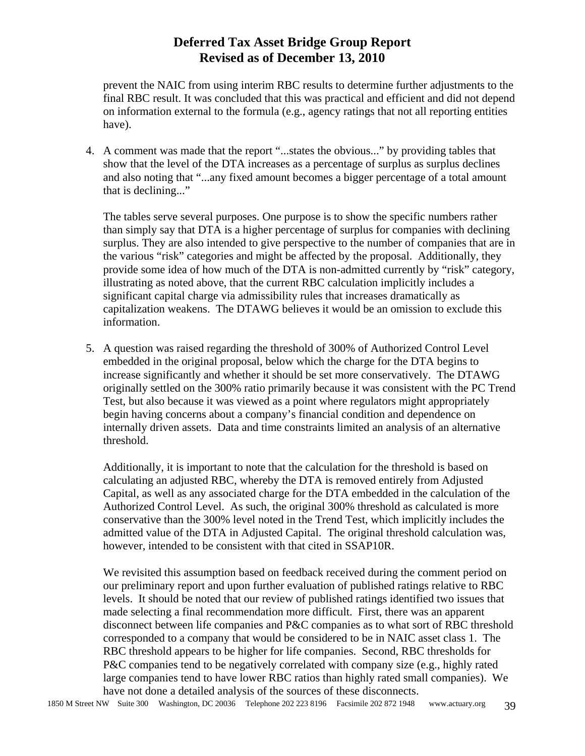prevent the NAIC from using interim RBC results to determine further adjustments to the final RBC result. It was concluded that this was practical and efficient and did not depend on information external to the formula (e.g., agency ratings that not all reporting entities have).

4. A comment was made that the report "...states the obvious..." by providing tables that show that the level of the DTA increases as a percentage of surplus as surplus declines and also noting that "...any fixed amount becomes a bigger percentage of a total amount that is declining..."

The tables serve several purposes. One purpose is to show the specific numbers rather than simply say that DTA is a higher percentage of surplus for companies with declining surplus. They are also intended to give perspective to the number of companies that are in the various "risk" categories and might be affected by the proposal. Additionally, they provide some idea of how much of the DTA is non-admitted currently by "risk" category, illustrating as noted above, that the current RBC calculation implicitly includes a significant capital charge via admissibility rules that increases dramatically as capitalization weakens. The DTAWG believes it would be an omission to exclude this information.

5. A question was raised regarding the threshold of 300% of Authorized Control Level embedded in the original proposal, below which the charge for the DTA begins to increase significantly and whether it should be set more conservatively. The DTAWG originally settled on the 300% ratio primarily because it was consistent with the PC Trend Test, but also because it was viewed as a point where regulators might appropriately begin having concerns about a company's financial condition and dependence on internally driven assets. Data and time constraints limited an analysis of an alternative threshold.

Additionally, it is important to note that the calculation for the threshold is based on calculating an adjusted RBC, whereby the DTA is removed entirely from Adjusted Capital, as well as any associated charge for the DTA embedded in the calculation of the Authorized Control Level. As such, the original 300% threshold as calculated is more conservative than the 300% level noted in the Trend Test, which implicitly includes the admitted value of the DTA in Adjusted Capital. The original threshold calculation was, however, intended to be consistent with that cited in SSAP10R.

We revisited this assumption based on feedback received during the comment period on our preliminary report and upon further evaluation of published ratings relative to RBC levels. It should be noted that our review of published ratings identified two issues that made selecting a final recommendation more difficult. First, there was an apparent disconnect between life companies and P&C companies as to what sort of RBC threshold corresponded to a company that would be considered to be in NAIC asset class 1. The RBC threshold appears to be higher for life companies. Second, RBC thresholds for P&C companies tend to be negatively correlated with company size (e.g., highly rated large companies tend to have lower RBC ratios than highly rated small companies). We have not done a detailed analysis of the sources of these disconnects.